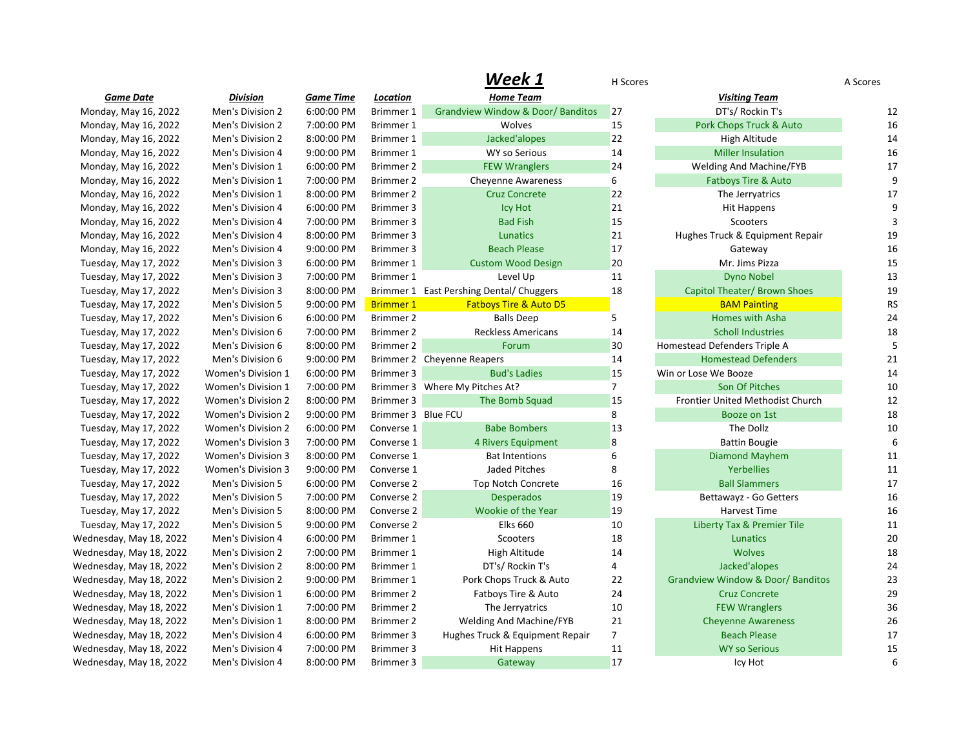|                         |                           |                  |                    | vveek 1                                  | H Scores       |                                              | A Scores  |
|-------------------------|---------------------------|------------------|--------------------|------------------------------------------|----------------|----------------------------------------------|-----------|
| <b>Game Date</b>        | <b>Division</b>           | <b>Game Time</b> | Location           | <b>Home Team</b>                         |                | <b>Visiting Team</b>                         |           |
| Monday, May 16, 2022    | Men's Division 2          | 6:00:00 PM       | <b>Brimmer 1</b>   | Grandview Window & Door/Banditos         | 27             | DT's/ Rockin T's                             | 12        |
| Monday, May 16, 2022    | Men's Division 2          | 7:00:00 PM       | Brimmer 1          | Wolves                                   | 15             | Pork Chops Truck & Auto                      | 16        |
| Monday, May 16, 2022    | Men's Division 2          | 8:00:00 PM       | Brimmer 1          | Jacked'alopes                            | 22             | High Altitude                                | 14        |
| Monday, May 16, 2022    | Men's Division 4          | 9:00:00 PM       | Brimmer 1          | <b>WY so Serious</b>                     | 14             | <b>Miller Insulation</b>                     | 16        |
| Monday, May 16, 2022    | Men's Division 1          | 6:00:00 PM       | Brimmer 2          | <b>FEW Wranglers</b>                     | 24             | <b>Welding And Machine/FYB</b>               | 17        |
| Monday, May 16, 2022    | Men's Division 1          | 7:00:00 PM       | Brimmer 2          | Cheyenne Awareness                       | 6              | Fatboys Tire & Auto                          | 9         |
| Monday, May 16, 2022    | Men's Division 1          | 8:00:00 PM       | Brimmer 2          | <b>Cruz Concrete</b>                     | 22             | The Jerryatrics                              | 17        |
| Monday, May 16, 2022    | Men's Division 4          | 6:00:00 PM       | Brimmer 3          | <b>Icy Hot</b>                           | 21             | <b>Hit Happens</b>                           | 9         |
| Monday, May 16, 2022    | Men's Division 4          | 7:00:00 PM       | Brimmer 3          | <b>Bad Fish</b>                          | 15             | Scooters                                     | 3         |
| Monday, May 16, 2022    | Men's Division 4          | 8:00:00 PM       | Brimmer 3          | Lunatics                                 | 21             | Hughes Truck & Equipment Repair              | 19        |
| Monday, May 16, 2022    | Men's Division 4          | 9:00:00 PM       | Brimmer 3          | <b>Beach Please</b>                      | 17             | Gateway                                      | 16        |
| Tuesday, May 17, 2022   | Men's Division 3          | 6:00:00 PM       | Brimmer 1          | <b>Custom Wood Design</b>                | 20             | Mr. Jims Pizza                               | 15        |
| Tuesday, May 17, 2022   | Men's Division 3          | 7:00:00 PM       | Brimmer 1          | Level Up                                 | 11             | <b>Dyno Nobel</b>                            | 13        |
| Tuesday, May 17, 2022   | Men's Division 3          | 8:00:00 PM       |                    | Brimmer 1 East Pershing Dental/ Chuggers | 18             | Capitol Theater/ Brown Shoes                 | 19        |
| Tuesday, May 17, 2022   | Men's Division 5          | 9:00:00 PM       | <b>Brimmer 1</b>   | <b>Fatboys Tire &amp; Auto D5</b>        |                | <b>BAM Painting</b>                          | <b>RS</b> |
| Tuesday, May 17, 2022   | Men's Division 6          | 6:00:00 PM       | Brimmer 2          | <b>Balls Deep</b>                        | 5              | Homes with Asha                              | 24        |
| Tuesday, May 17, 2022   | Men's Division 6          | 7:00:00 PM       | Brimmer 2          | <b>Reckless Americans</b>                | 14             | <b>Scholl Industries</b>                     | 18        |
| Tuesday, May 17, 2022   | Men's Division 6          | 8:00:00 PM       | Brimmer 2          | Forum                                    | 30             | Homestead Defenders Triple A                 | 5         |
| Tuesday, May 17, 2022   | Men's Division 6          | 9:00:00 PM       |                    | Brimmer 2 Cheyenne Reapers               | 14             | <b>Homestead Defenders</b>                   | 21        |
| Tuesday, May 17, 2022   | <b>Women's Division 1</b> | 6:00:00 PM       | Brimmer 3          | <b>Bud's Ladies</b>                      | 15             | Win or Lose We Booze                         | 14        |
| Tuesday, May 17, 2022   | <b>Women's Division 1</b> | 7:00:00 PM       |                    | Brimmer 3 Where My Pitches At?           | $\overline{7}$ | Son Of Pitches                               | 10        |
| Tuesday, May 17, 2022   | Women's Division 2        | 8:00:00 PM       | Brimmer 3          | The Bomb Squad                           | 15             | Frontier United Methodist Church             | 12        |
| Tuesday, May 17, 2022   | <b>Women's Division 2</b> | 9:00:00 PM       | Brimmer 3 Blue FCU |                                          | 8              | Booze on 1st                                 | 18        |
| Tuesday, May 17, 2022   | <b>Women's Division 2</b> | 6:00:00 PM       | Converse 1         | <b>Babe Bombers</b>                      | 13             | The Dollz                                    | 10        |
| Tuesday, May 17, 2022   | <b>Women's Division 3</b> | 7:00:00 PM       | Converse 1         | 4 Rivers Equipment                       | 8              | <b>Battin Bougie</b>                         | 6         |
| Tuesday, May 17, 2022   | <b>Women's Division 3</b> | 8:00:00 PM       | Converse 1         | Bat Intentions                           | 6              | <b>Diamond Mayhem</b>                        | 11        |
| Tuesday, May 17, 2022   | <b>Women's Division 3</b> | 9:00:00 PM       | Converse 1         | Jaded Pitches                            | 8              | <b>Yerbellies</b>                            | 11        |
| Tuesday, May 17, 2022   | Men's Division 5          | 6:00:00 PM       | Converse 2         | <b>Top Notch Concrete</b>                | 16             | <b>Ball Slammers</b>                         | 17        |
| Tuesday, May 17, 2022   | Men's Division 5          | 7:00:00 PM       | Converse 2         | <b>Desperados</b>                        | 19             | Bettawayz - Go Getters                       | 16        |
| Tuesday, May 17, 2022   | Men's Division 5          | 8:00:00 PM       | Converse 2         | Wookie of the Year                       | 19             | <b>Harvest Time</b>                          | 16        |
| Tuesday, May 17, 2022   | Men's Division 5          | 9:00:00 PM       | Converse 2         | <b>Elks 660</b>                          | 10             | <b>Liberty Tax &amp; Premier Tile</b>        | 11        |
| Wednesday, May 18, 2022 | Men's Division 4          | 6:00:00 PM       | Brimmer 1          | Scooters                                 | 18             | Lunatics                                     | 20        |
| Wednesday, May 18, 2022 | Men's Division 2          | 7:00:00 PM       | Brimmer 1          | High Altitude                            | 14             | <b>Wolves</b>                                | 18        |
| Wednesday, May 18, 2022 | Men's Division 2          | 8:00:00 PM       | Brimmer 1          | DT's/ Rockin T's                         | $\overline{4}$ | Jacked'alopes                                | 24        |
| Wednesday, May 18, 2022 | Men's Division 2          | 9:00:00 PM       | Brimmer 1          | Pork Chops Truck & Auto                  | 22             | <b>Grandview Window &amp; Door/ Banditos</b> | 23        |
| Wednesday, May 18, 2022 | Men's Division 1          | 6:00:00 PM       | Brimmer 2          | Fatboys Tire & Auto                      | 24             | <b>Cruz Concrete</b>                         | 29        |
| Wednesday, May 18, 2022 | Men's Division 1          | 7:00:00 PM       | Brimmer 2          | The Jerryatrics                          | 10             | <b>FEW Wranglers</b>                         | 36        |
| Wednesday, May 18, 2022 | Men's Division 1          | 8:00:00 PM       | Brimmer 2          | <b>Welding And Machine/FYB</b>           | 21             | <b>Cheyenne Awareness</b>                    | 26        |
| Wednesday, May 18, 2022 | Men's Division 4          | 6:00:00 PM       | Brimmer 3          | Hughes Truck & Equipment Repair          | $\overline{7}$ | <b>Beach Please</b>                          | 17        |
| Wednesday, May 18, 2022 | Men's Division 4          | 7:00:00 PM       | Brimmer 3          | Hit Happens                              | 11             | <b>WY so Serious</b>                         | 15        |
| Wednesday, May 18, 2022 | Men's Division 4          | 8:00:00 PM       | Brimmer 3          | Gateway                                  | 17             | Icy Hot                                      | 6         |

| Week 1                             | H Scores       |                                       | A Scores  |
|------------------------------------|----------------|---------------------------------------|-----------|
| <b>Home Team</b>                   |                | <b>Visiting Team</b>                  |           |
| <b>Window &amp; Door/ Banditos</b> | 27             | DT's/ Rockin T's                      | 12        |
| Wolves                             | 15             | Pork Chops Truck & Auto               | 16        |
| Jacked'alopes                      | 22             | High Altitude                         | 14        |
| <b>WY so Serious</b>               | 14             | <b>Miller Insulation</b>              | 16        |
| <b>FEW Wranglers</b>               | 24             | <b>Welding And Machine/FYB</b>        | 17        |
| venne Awareness                    | 6              | <b>Fatboys Tire &amp; Auto</b>        | 9         |
| <b>Cruz Concrete</b>               | 22             | The Jerryatrics                       | 17        |
| <b>Icy Hot</b>                     | 21             | <b>Hit Happens</b>                    | 9         |
| <b>Bad Fish</b>                    | 15             | Scooters                              | 3         |
| Lunatics                           | 21             | Hughes Truck & Equipment Repair       | 19        |
| <b>Beach Please</b>                | 17             | Gateway                               | 16        |
| tom Wood Design                    | 20             | Mr. Jims Pizza                        | 15        |
| Level Up                           | 11             | <b>Dyno Nobel</b>                     | 13        |
| Dental/ Chuggers                   | 18             | Capitol Theater/ Brown Shoes          | 19        |
| oys Tire & Auto D5                 |                | <b>BAM Painting</b>                   | <b>RS</b> |
| <b>Balls Deep</b>                  | 5              | <b>Homes with Asha</b>                | 24        |
| ckless Americans                   | 14             | <b>Scholl Industries</b>              | 18        |
| Forum                              | 30             | Homestead Defenders Triple A          | 5         |
| pers                               | 14             | <b>Homestead Defenders</b>            | 21        |
| <b>Bud's Ladies</b>                | 15             | Win or Lose We Booze                  | 14        |
| ches At?                           | $\overline{7}$ | Son Of Pitches                        | 10        |
| he Bomb Squad                      | 15             | Frontier United Methodist Church      | 12        |
|                                    | 8              | Booze on 1st                          | 18        |
| <b>Babe Bombers</b>                | 13             | The Dollz                             | 10        |
| Rivers Equipment                   | 8              | <b>Battin Bougie</b>                  | 6         |
| <b>Bat Intentions</b>              | 6              | Diamond Mayhem                        | 11        |
| Jaded Pitches                      | 8              | Yerbellies                            | 11        |
| p Notch Concrete                   | 16             | <b>Ball Slammers</b>                  | 17        |
| <b>Desperados</b>                  | 19             | Bettawayz - Go Getters                | 16        |
| ookie of the Year                  | 19             | <b>Harvest Time</b>                   | 16        |
| <b>Elks 660</b>                    | 10             | <b>Liberty Tax &amp; Premier Tile</b> | 11        |
| Scooters                           | 18             | Lunatics                              | 20        |
| High Altitude                      | 14             | <b>Wolves</b>                         | 18        |
| <b>DT's/ Rockin T's</b>            | 4              | Jacked'alopes                         | 24        |
| Chops Truck & Auto                 | 22             | Grandview Window & Door/Banditos      | 23        |
| tboys Tire & Auto                  | 24             | <b>Cruz Concrete</b>                  | 29        |
| The Jerryatrics                    | 10             | <b>FEW Wranglers</b>                  | 36        |
| ng And Machine/FYB                 | 21             | <b>Cheyenne Awareness</b>             | 26        |
| uck & Equipment Repair             | $\overline{7}$ | <b>Beach Please</b>                   | 17        |
| <b>Hit Happens</b>                 | 11             | <b>WY so Serious</b>                  | 15        |
| Gateway                            | 17             | Icy Hot                               | 6         |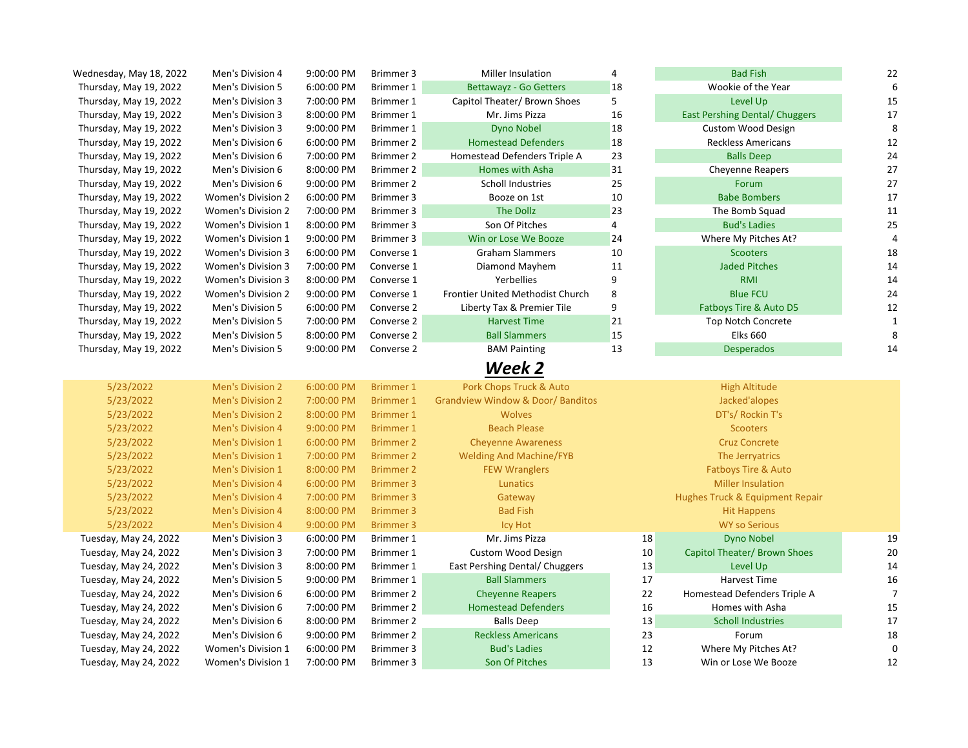| Wednesday, May 18, 2022 | Men's Division 4          | 9:00:00 PM | Brimmer 3        | Miller Insulation                | 4              | <b>Bad Fish</b>                       | 22             |
|-------------------------|---------------------------|------------|------------------|----------------------------------|----------------|---------------------------------------|----------------|
| Thursday, May 19, 2022  | Men's Division 5          | 6:00:00 PM | Brimmer 1        | <b>Bettawayz - Go Getters</b>    | 18             | Wookie of the Year                    | 6              |
| Thursday, May 19, 2022  | Men's Division 3          | 7:00:00 PM | Brimmer 1        | Capitol Theater/ Brown Shoes     | 5              | Level Up                              | 15             |
| Thursday, May 19, 2022  | Men's Division 3          | 8:00:00 PM | Brimmer 1        | Mr. Jims Pizza                   | 16             | <b>East Pershing Dental/ Chuggers</b> | 17             |
| Thursday, May 19, 2022  | Men's Division 3          | 9:00:00 PM | Brimmer 1        | <b>Dyno Nobel</b>                | 18             | <b>Custom Wood Design</b>             | 8              |
| Thursday, May 19, 2022  | Men's Division 6          | 6:00:00 PM | Brimmer 2        | <b>Homestead Defenders</b>       | 18             | <b>Reckless Americans</b>             | 12             |
| Thursday, May 19, 2022  | Men's Division 6          | 7:00:00 PM | Brimmer 2        | Homestead Defenders Triple A     | 23             | <b>Balls Deep</b>                     | 24             |
| Thursday, May 19, 2022  | Men's Division 6          | 8:00:00 PM | Brimmer 2        | Homes with Asha                  | 31             | <b>Cheyenne Reapers</b>               | 27             |
| Thursday, May 19, 2022  | Men's Division 6          | 9:00:00 PM | Brimmer 2        | Scholl Industries                | 25             | Forum                                 | 27             |
| Thursday, May 19, 2022  | Women's Division 2        | 6:00:00 PM | Brimmer 3        | Booze on 1st                     | 10             | <b>Babe Bombers</b>                   | 17             |
| Thursday, May 19, 2022  | <b>Women's Division 2</b> | 7:00:00 PM | Brimmer 3        | The Dollz                        | 23             | The Bomb Squad                        | 11             |
| Thursday, May 19, 2022  | Women's Division 1        | 8:00:00 PM | Brimmer 3        | Son Of Pitches                   | $\overline{4}$ | <b>Bud's Ladies</b>                   | 25             |
| Thursday, May 19, 2022  | Women's Division 1        | 9:00:00 PM | Brimmer 3        | Win or Lose We Booze             | 24             | Where My Pitches At?                  | $\overline{4}$ |
| Thursday, May 19, 2022  | Women's Division 3        | 6:00:00 PM | Converse 1       | <b>Graham Slammers</b>           | 10             | <b>Scooters</b>                       | 18             |
| Thursday, May 19, 2022  | Women's Division 3        | 7:00:00 PM | Converse 1       | Diamond Mayhem                   | 11             | <b>Jaded Pitches</b>                  | 14             |
| Thursday, May 19, 2022  | <b>Women's Division 3</b> | 8:00:00 PM | Converse 1       | Yerbellies                       | 9              | <b>RMI</b>                            | 14             |
| Thursday, May 19, 2022  | <b>Women's Division 2</b> | 9:00:00 PM | Converse 1       | Frontier United Methodist Church | 8              | <b>Blue FCU</b>                       | 24             |
| Thursday, May 19, 2022  | Men's Division 5          | 6:00:00 PM | Converse 2       | Liberty Tax & Premier Tile       | 9              | Fatboys Tire & Auto D5                | 12             |
| Thursday, May 19, 2022  | Men's Division 5          | 7:00:00 PM | Converse 2       | <b>Harvest Time</b>              | 21             | <b>Top Notch Concrete</b>             | $\mathbf{1}$   |
| Thursday, May 19, 2022  | Men's Division 5          | 8:00:00 PM | Converse 2       | <b>Ball Slammers</b>             | 15             | <b>Elks 660</b>                       | 8              |
| Thursday, May 19, 2022  | Men's Division 5          | 9:00:00 PM | Converse 2       | <b>BAM Painting</b>              | 13             | <b>Desperados</b>                     | 14             |
|                         |                           |            |                  | Week 2                           |                |                                       |                |
| 5/23/2022               | <b>Men's Division 2</b>   | 6:00:00 PM | <b>Brimmer 1</b> | Pork Chops Truck & Auto          |                | <b>High Altitude</b>                  |                |
| 5/23/2022               | <b>Men's Division 2</b>   | 7:00:00 PM | <b>Brimmer 1</b> | Grandview Window & Door/Banditos |                | Jacked'alopes                         |                |
| 5/23/2022               | <b>Men's Division 2</b>   | 8:00:00 PM | <b>Brimmer 1</b> | Wolves                           |                | DT's/ Rockin T's                      |                |
| 5/23/2022               | <b>Men's Division 4</b>   | 9:00:00 PM | <b>Brimmer 1</b> | <b>Beach Please</b>              |                | <b>Scooters</b>                       |                |
| 5/23/2022               | <b>Men's Division 1</b>   | 6:00:00 PM | <b>Brimmer 2</b> | <b>Cheyenne Awareness</b>        |                | <b>Cruz Concrete</b>                  |                |
| 5/23/2022               | <b>Men's Division 1</b>   | 7:00:00 PM | <b>Brimmer 2</b> | <b>Welding And Machine/FYB</b>   |                | The Jerryatrics                       |                |
| 5/23/2022               | <b>Men's Division 1</b>   | 8:00:00 PM | <b>Brimmer 2</b> | <b>FEW Wranglers</b>             |                | <b>Fatboys Tire &amp; Auto</b>        |                |
| 5/23/2022               | <b>Men's Division 4</b>   | 6:00:00 PM | <b>Brimmer 3</b> | <b>Lunatics</b>                  |                | <b>Miller Insulation</b>              |                |
| 5/23/2022               | <b>Men's Division 4</b>   | 7:00:00 PM | <b>Brimmer 3</b> | Gateway                          |                | Hughes Truck & Equipment Repair       |                |
| 5/23/2022               | <b>Men's Division 4</b>   | 8:00:00 PM |                  | <b>Bad Fish</b>                  |                | <b>Hit Happens</b>                    |                |
| 5/23/2022               |                           |            | <b>Brimmer 3</b> |                                  |                |                                       |                |
| Tuesday, May 24, 2022   | <b>Men's Division 4</b>   | 9:00:00 PM | <b>Brimmer 3</b> | <b>Icy Hot</b>                   |                | <b>WY so Serious</b>                  |                |
|                         | Men's Division 3          | 6:00:00 PM | Brimmer 1        | Mr. Jims Pizza                   | 18             | <b>Dyno Nobel</b>                     | 19             |
| Tuesday, May 24, 2022   | Men's Division 3          | 7:00:00 PM | Brimmer 1        | <b>Custom Wood Design</b>        | 10             | Capitol Theater/ Brown Shoes          | 20             |
| Tuesday, May 24, 2022   | Men's Division 3          | 8:00:00 PM | <b>Brimmer 1</b> | East Pershing Dental/ Chuggers   | 13             | Level Up                              | 14             |
| Tuesday, May 24, 2022   | Men's Division 5          | 9:00:00 PM | Brimmer 1        | <b>Ball Slammers</b>             | 17             | Harvest Time                          | 16             |
| Tuesday, May 24, 2022   | Men's Division 6          | 6:00:00 PM | Brimmer 2        | <b>Cheyenne Reapers</b>          | 22             | Homestead Defenders Triple A          | $\overline{7}$ |
| Tuesday, May 24, 2022   | Men's Division 6          | 7:00:00 PM | Brimmer 2        | <b>Homestead Defenders</b>       | 16             | Homes with Asha                       | 15             |
| Tuesday, May 24, 2022   | Men's Division 6          | 8:00:00 PM | Brimmer 2        | <b>Balls Deep</b>                | 13             | <b>Scholl Industries</b>              | 17             |
| Tuesday, May 24, 2022   | Men's Division 6          | 9:00:00 PM | Brimmer 2        | <b>Reckless Americans</b>        | 23             | Forum                                 | 18             |
| Tuesday, May 24, 2022   | Women's Division 1        | 6:00:00 PM | Brimmer 3        | <b>Bud's Ladies</b>              | 12             | Where My Pitches At?                  | $\mathbf 0$    |
| Tuesday, May 24, 2022   | Women's Division 1        | 7:00:00 PM | Brimmer 3        | Son Of Pitches                   | 13             | Win or Lose We Booze                  | 12             |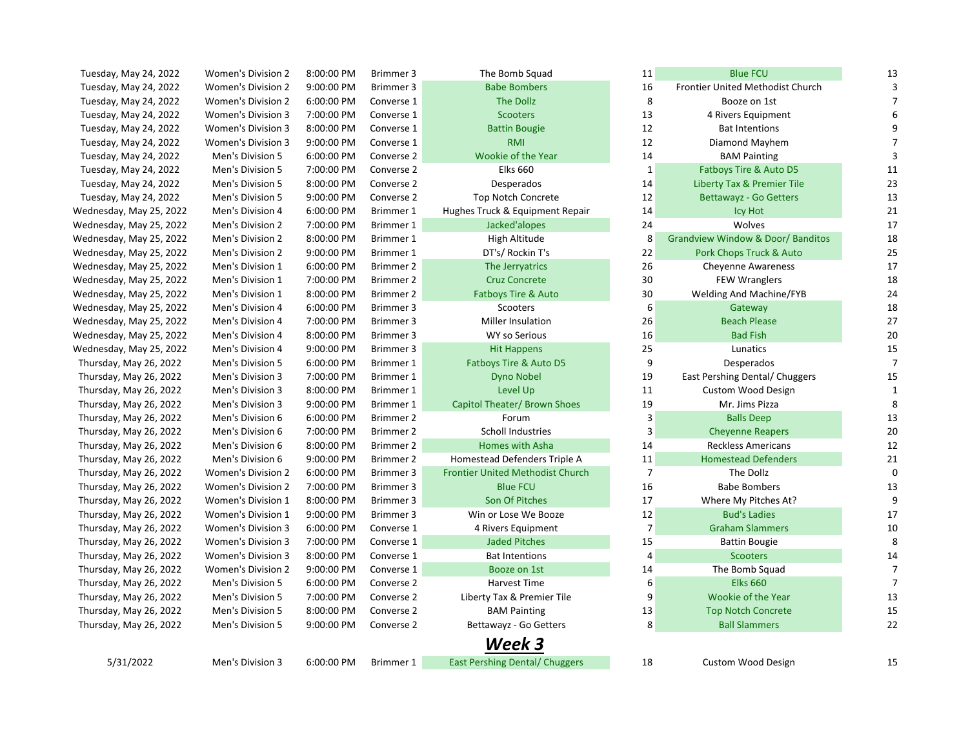| Tuesday, May 24, 2022   | Women's Division 2        | 8:00:00 PM | Brimmer 3  | The Bomb Squad                          | 11             | <b>Blue FCU</b>                              | 13             |
|-------------------------|---------------------------|------------|------------|-----------------------------------------|----------------|----------------------------------------------|----------------|
| Tuesday, May 24, 2022   | <b>Women's Division 2</b> | 9:00:00 PM | Brimmer 3  | <b>Babe Bombers</b>                     | 16             | Frontier United Methodist Church             |                |
| Tuesday, May 24, 2022   | Women's Division 2        | 6:00:00 PM | Converse 1 | The Dollz                               | 8              | Booze on 1st                                 |                |
| Tuesday, May 24, 2022   | <b>Women's Division 3</b> | 7:00:00 PM | Converse 1 | <b>Scooters</b>                         | 13             | 4 Rivers Equipment                           |                |
| Tuesday, May 24, 2022   | Women's Division 3        | 8:00:00 PM | Converse 1 | <b>Battin Bougie</b>                    | 12             | <b>Bat Intentions</b>                        | 9              |
| Tuesday, May 24, 2022   | Women's Division 3        | 9:00:00 PM | Converse 1 | <b>RMI</b>                              | 12             | Diamond Mayhem                               |                |
| Tuesday, May 24, 2022   | Men's Division 5          | 6:00:00 PM | Converse 2 | Wookie of the Year                      | 14             | <b>BAM Painting</b>                          | 3              |
| Tuesday, May 24, 2022   | Men's Division 5          | 7:00:00 PM | Converse 2 | <b>Elks 660</b>                         | $\mathbf 1$    | Fatboys Tire & Auto D5                       | 11             |
| Tuesday, May 24, 2022   | Men's Division 5          | 8:00:00 PM | Converse 2 | Desperados                              | 14             | Liberty Tax & Premier Tile                   | 23             |
| Tuesday, May 24, 2022   | Men's Division 5          | 9:00:00 PM | Converse 2 | <b>Top Notch Concrete</b>               | 12             | Bettawayz - Go Getters                       | 13             |
| Wednesday, May 25, 2022 | Men's Division 4          | 6:00:00 PM | Brimmer 1  | Hughes Truck & Equipment Repair         | 14             | Icy Hot                                      | 21             |
| Wednesday, May 25, 2022 | Men's Division 2          | 7:00:00 PM | Brimmer 1  | Jacked'alopes                           | 24             | Wolves                                       | 17             |
| Wednesday, May 25, 2022 | Men's Division 2          | 8:00:00 PM | Brimmer 1  | High Altitude                           | 8              | <b>Grandview Window &amp; Door/ Banditos</b> | 18             |
| Wednesday, May 25, 2022 | Men's Division 2          | 9:00:00 PM | Brimmer 1  | DT's/ Rockin T's                        | 22             | Pork Chops Truck & Auto                      | 25             |
| Wednesday, May 25, 2022 | Men's Division 1          | 6:00:00 PM | Brimmer 2  | The Jerryatrics                         | 26             | <b>Cheyenne Awareness</b>                    | 17             |
| Wednesday, May 25, 2022 | Men's Division 1          | 7:00:00 PM | Brimmer 2  | <b>Cruz Concrete</b>                    | 30             | <b>FEW Wranglers</b>                         | 18             |
| Wednesday, May 25, 2022 | Men's Division 1          | 8:00:00 PM | Brimmer 2  | Fatboys Tire & Auto                     | 30             | Welding And Machine/FYB                      | 24             |
| Wednesday, May 25, 2022 | Men's Division 4          | 6:00:00 PM | Brimmer 3  | Scooters                                | 6              | Gateway                                      | 18             |
| Wednesday, May 25, 2022 | Men's Division 4          | 7:00:00 PM | Brimmer 3  | Miller Insulation                       | 26             | <b>Beach Please</b>                          | 27             |
| Wednesday, May 25, 2022 | Men's Division 4          | 8:00:00 PM | Brimmer 3  | <b>WY so Serious</b>                    | 16             | <b>Bad Fish</b>                              | 20             |
| Wednesday, May 25, 2022 | Men's Division 4          | 9:00:00 PM | Brimmer 3  | <b>Hit Happens</b>                      | 25             | Lunatics                                     | 15             |
| Thursday, May 26, 2022  | Men's Division 5          | 6:00:00 PM | Brimmer 1  | Fatboys Tire & Auto D5                  | 9              | Desperados                                   | 7              |
| Thursday, May 26, 2022  | Men's Division 3          | 7:00:00 PM | Brimmer 1  | <b>Dyno Nobel</b>                       | 19             | East Pershing Dental/ Chuggers               | 15             |
| Thursday, May 26, 2022  | Men's Division 3          | 8:00:00 PM | Brimmer 1  | Level Up                                | 11             | <b>Custom Wood Design</b>                    | 1              |
| Thursday, May 26, 2022  | Men's Division 3          | 9:00:00 PM | Brimmer 1  | Capitol Theater/ Brown Shoes            | 19             | Mr. Jims Pizza                               | 8              |
| Thursday, May 26, 2022  | Men's Division 6          | 6:00:00 PM | Brimmer 2  | Forum                                   | 3              | <b>Balls Deep</b>                            | 13             |
| Thursday, May 26, 2022  | Men's Division 6          | 7:00:00 PM | Brimmer 2  | Scholl Industries                       | 3              | <b>Cheyenne Reapers</b>                      | 20             |
| Thursday, May 26, 2022  | Men's Division 6          | 8:00:00 PM | Brimmer 2  | Homes with Asha                         | 14             | <b>Reckless Americans</b>                    | 12             |
| Thursday, May 26, 2022  | Men's Division 6          | 9:00:00 PM | Brimmer 2  | Homestead Defenders Triple A            | 11             | <b>Homestead Defenders</b>                   | 21             |
| Thursday, May 26, 2022  | <b>Women's Division 2</b> | 6:00:00 PM | Brimmer 3  | <b>Frontier United Methodist Church</b> | $\overline{7}$ | The Dollz                                    | 0              |
| Thursday, May 26, 2022  | <b>Women's Division 2</b> | 7:00:00 PM | Brimmer 3  | <b>Blue FCU</b>                         | 16             | <b>Babe Bombers</b>                          | 13             |
| Thursday, May 26, 2022  | Women's Division 1        | 8:00:00 PM | Brimmer 3  | Son Of Pitches                          | 17             | Where My Pitches At?                         | 9              |
| Thursday, May 26, 2022  | Women's Division 1        | 9:00:00 PM | Brimmer 3  | Win or Lose We Booze                    | 12             | <b>Bud's Ladies</b>                          | 17             |
| Thursday, May 26, 2022  | <b>Women's Division 3</b> | 6:00:00 PM | Converse 1 | 4 Rivers Equipment                      | 7              | <b>Graham Slammers</b>                       | 10             |
| Thursday, May 26, 2022  | Women's Division 3        | 7:00:00 PM | Converse 1 | <b>Jaded Pitches</b>                    | 15             | <b>Battin Bougie</b>                         | 8              |
| Thursday, May 26, 2022  | <b>Women's Division 3</b> | 8:00:00 PM | Converse 1 | <b>Bat Intentions</b>                   | 4              | <b>Scooters</b>                              | 14             |
| Thursday, May 26, 2022  | <b>Women's Division 2</b> | 9:00:00 PM | Converse 1 | Booze on 1st                            | 14             | The Bomb Squad                               | 7              |
| Thursday, May 26, 2022  | Men's Division 5          | 6:00:00 PM | Converse 2 | Harvest Time                            | 6              | <b>Elks 660</b>                              | $\overline{7}$ |
| Thursday, May 26, 2022  | Men's Division 5          | 7:00:00 PM | Converse 2 | Liberty Tax & Premier Tile              | 9              | Wookie of the Year                           | 13             |
| Thursday, May 26, 2022  | Men's Division 5          | 8:00:00 PM | Converse 2 | <b>BAM Painting</b>                     | 13             | <b>Top Notch Concrete</b>                    | 15             |
| Thursday, May 26, 2022  | Men's Division 5          | 9:00:00 PM | Converse 2 | Bettawayz - Go Getters                  | 8              | <b>Ball Slammers</b>                         | 22             |
|                         |                           |            |            | Week 3                                  |                |                                              |                |
| 5/31/2022               | Men's Division 3          | 6:00:00 PM | Brimmer 1  | <b>East Pershing Dental/ Chuggers</b>   | 18             | <b>Custom Wood Design</b>                    | 15             |
|                         |                           |            |            |                                         |                |                                              |                |

| 11           | <b>Blue FCU</b>                              | 13           |
|--------------|----------------------------------------------|--------------|
| 16           | Frontier United Methodist Church             | 3            |
| -8           | Booze on 1st                                 | 7            |
| 13           | 4 Rivers Equipment                           | 6            |
| 12           | <b>Bat Intentions</b>                        | 9            |
| 12           | Diamond Mayhem                               | 7            |
| 14           | <b>BAM Painting</b>                          | 3            |
| $\mathbf{1}$ | Fatboys Tire & Auto D5                       | 11           |
| 14           | <b>Liberty Tax &amp; Premier Tile</b>        | 23           |
| 12           | <b>Bettawayz - Go Getters</b>                | 13           |
| 14           | <b>Icy Hot</b>                               | 21           |
| 24           | Wolves                                       | 17           |
| 8            | <b>Grandview Window &amp; Door/ Banditos</b> | 18           |
| 22           | Pork Chops Truck & Auto                      | 25           |
| 26           | <b>Cheyenne Awareness</b>                    | 17           |
| 30           | <b>FEW Wranglers</b>                         | 18           |
| 30           | <b>Welding And Machine/FYB</b>               | 24           |
| 6            | Gateway                                      | 18           |
| 26           | <b>Beach Please</b>                          | 27           |
| 16           | <b>Bad Fish</b>                              | 20           |
| 25           | Lunatics                                     | 15           |
| 9            | Desperados                                   | 7            |
| 19           | East Pershing Dental/ Chuggers               | 15           |
| 11           | <b>Custom Wood Design</b>                    | $\mathbf{1}$ |
| 19           | Mr. Jims Pizza                               | 8            |
| 3            | <b>Balls Deep</b>                            | 13           |
| 3            | <b>Cheyenne Reapers</b>                      | 20           |
| 14           | <b>Reckless Americans</b>                    | 12           |
| 11           | <b>Homestead Defenders</b>                   | 21           |
| 7            | The Dollz                                    | 0            |
| 16           | <b>Babe Bombers</b>                          | 13           |
| 17           | Where My Pitches At?                         | 9            |
| 12           | <b>Bud's Ladies</b>                          | 17           |
| 7            | <b>Graham Slammers</b>                       | 10           |
| 15           | <b>Battin Bougie</b>                         | 8            |
| 4            | <b>Scooters</b>                              | 14           |
| 14           | The Bomb Squad                               | 7            |
| 6            | <b>Elks 660</b>                              | 7            |
| 9            | Wookie of the Year                           | 13           |
| 13           | <b>Top Notch Concrete</b>                    | 15           |
| 8            | <b>Ball Slammers</b>                         | 22           |
|              |                                              |              |
|              |                                              |              |
| 18           | <b>Custom Wood Design</b>                    | 15           |
|              |                                              |              |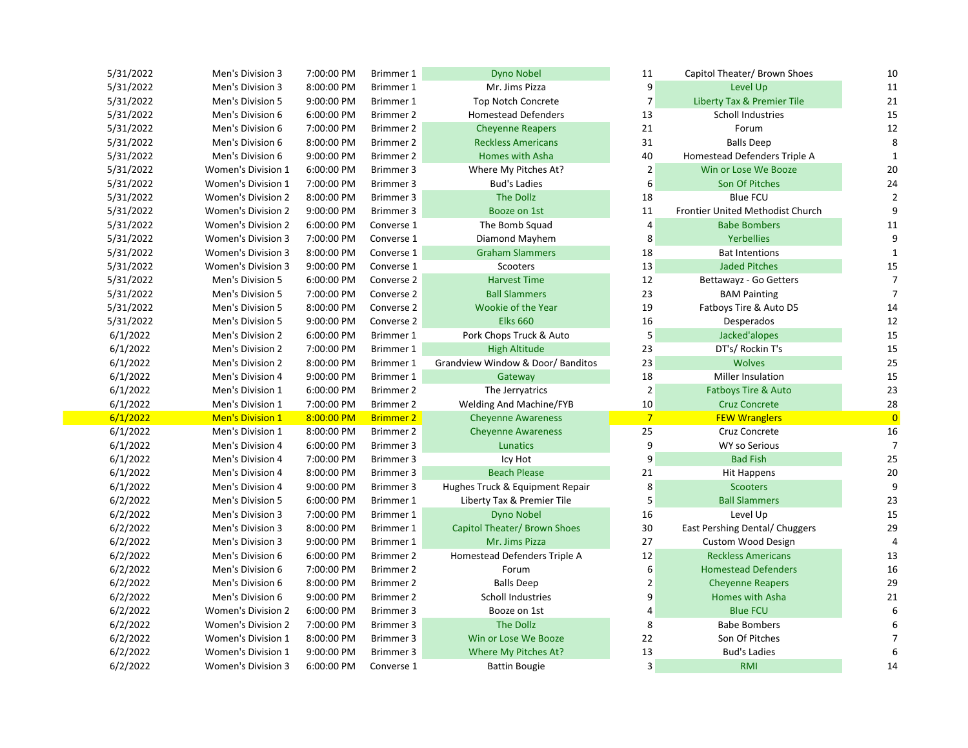| 5/31/2022 | Men's Division 3          | 7:00:00 PM | Brimmer 1        | <b>Dyno Nobel</b>                 | $11\,$         | Capitol Theater/ Brown Shoes          | 10             |
|-----------|---------------------------|------------|------------------|-----------------------------------|----------------|---------------------------------------|----------------|
| 5/31/2022 | Men's Division 3          | 8:00:00 PM | Brimmer 1        | Mr. Jims Pizza                    | 9              | Level Up                              | 11             |
| 5/31/2022 | Men's Division 5          | 9:00:00 PM | Brimmer 1        | <b>Top Notch Concrete</b>         | $\overline{7}$ | <b>Liberty Tax &amp; Premier Tile</b> | 21             |
| 5/31/2022 | Men's Division 6          | 6:00:00 PM | Brimmer 2        | <b>Homestead Defenders</b>        | 13             | Scholl Industries                     | 15             |
| 5/31/2022 | Men's Division 6          | 7:00:00 PM | Brimmer 2        | <b>Cheyenne Reapers</b>           | 21             | Forum                                 | 12             |
| 5/31/2022 | Men's Division 6          | 8:00:00 PM | Brimmer 2        | <b>Reckless Americans</b>         | 31             | <b>Balls Deep</b>                     | 8              |
| 5/31/2022 | Men's Division 6          | 9:00:00 PM | Brimmer 2        | Homes with Asha                   | 40             | Homestead Defenders Triple A          |                |
| 5/31/2022 | Women's Division 1        | 6:00:00 PM | Brimmer 3        | Where My Pitches At?              | $\overline{2}$ | Win or Lose We Booze                  | 20             |
| 5/31/2022 | <b>Women's Division 1</b> | 7:00:00 PM | Brimmer 3        | <b>Bud's Ladies</b>               | 6              | Son Of Pitches                        | 24             |
| 5/31/2022 | Women's Division 2        | 8:00:00 PM | Brimmer 3        | The Dollz                         | 18             | <b>Blue FCU</b>                       |                |
| 5/31/2022 | Women's Division 2        | 9:00:00 PM | Brimmer 3        | Booze on 1st                      | 11             | Frontier United Methodist Church      | 9              |
| 5/31/2022 | <b>Women's Division 2</b> | 6:00:00 PM | Converse 1       | The Bomb Squad                    | $\overline{4}$ | <b>Babe Bombers</b>                   | 11             |
| 5/31/2022 | <b>Women's Division 3</b> | 7:00:00 PM | Converse 1       | Diamond Mayhem                    | 8              | <b>Yerbellies</b>                     | 9              |
| 5/31/2022 | <b>Women's Division 3</b> | 8:00:00 PM | Converse 1       | <b>Graham Slammers</b>            | 18             | <b>Bat Intentions</b>                 | $\mathbf{1}$   |
| 5/31/2022 | Women's Division 3        | 9:00:00 PM | Converse 1       | Scooters                          | 13             | <b>Jaded Pitches</b>                  | 15             |
| 5/31/2022 | Men's Division 5          | 6:00:00 PM | Converse 2       | <b>Harvest Time</b>               | 12             | Bettawayz - Go Getters                | 7              |
| 5/31/2022 | Men's Division 5          | 7:00:00 PM | Converse 2       | <b>Ball Slammers</b>              | 23             | <b>BAM Painting</b>                   | 7              |
| 5/31/2022 | Men's Division 5          | 8:00:00 PM | Converse 2       | Wookie of the Year                | 19             | Fatboys Tire & Auto D5                | 14             |
| 5/31/2022 | Men's Division 5          | 9:00:00 PM | Converse 2       | <b>Elks 660</b>                   | 16             | Desperados                            | 12             |
| 6/1/2022  | Men's Division 2          | 6:00:00 PM | Brimmer 1        | Pork Chops Truck & Auto           | 5              | Jacked'alopes                         | 15             |
| 6/1/2022  | Men's Division 2          | 7:00:00 PM | Brimmer 1        | <b>High Altitude</b>              | 23             | DT's/ Rockin T's                      | 15             |
| 6/1/2022  | Men's Division 2          | 8:00:00 PM | Brimmer 1        | Grandview Window & Door/ Banditos | 23             | <b>Wolves</b>                         | 25             |
| 6/1/2022  | Men's Division 4          | 9:00:00 PM | Brimmer 1        | Gateway                           | 18             | Miller Insulation                     | 15             |
| 6/1/2022  | Men's Division 1          | 6:00:00 PM | Brimmer 2        | The Jerryatrics                   | $\overline{2}$ | <b>Fatboys Tire &amp; Auto</b>        | 23             |
| 6/1/2022  | Men's Division 1          | 7:00:00 PM | Brimmer 2        | Welding And Machine/FYB           | 10             | <b>Cruz Concrete</b>                  | 28             |
| 6/1/2022  | <b>Men's Division 1</b>   | 8:00:00 PM | <b>Brimmer 2</b> | <b>Cheyenne Awareness</b>         | $\overline{7}$ | <b>FEW Wranglers</b>                  | $\overline{0}$ |
| 6/1/2022  | Men's Division 1          | 8:00:00 PM | Brimmer 2        | <b>Cheyenne Awareness</b>         | 25             | Cruz Concrete                         | 16             |
| 6/1/2022  | Men's Division 4          | 6:00:00 PM | Brimmer 3        | <b>Lunatics</b>                   | 9              | <b>WY so Serious</b>                  | 7              |
| 6/1/2022  | Men's Division 4          | 7:00:00 PM | Brimmer 3        | Icy Hot                           | 9              | <b>Bad Fish</b>                       | 25             |
| 6/1/2022  | Men's Division 4          | 8:00:00 PM | Brimmer 3        | <b>Beach Please</b>               | 21             | <b>Hit Happens</b>                    | 20             |
| 6/1/2022  | Men's Division 4          | 9:00:00 PM | Brimmer 3        | Hughes Truck & Equipment Repair   | 8              | <b>Scooters</b>                       | 9              |
| 6/2/2022  | Men's Division 5          | 6:00:00 PM | Brimmer 1        | Liberty Tax & Premier Tile        | 5              | <b>Ball Slammers</b>                  | 23             |
| 6/2/2022  | Men's Division 3          | 7:00:00 PM | Brimmer 1        | <b>Dyno Nobel</b>                 | 16             | Level Up                              | 15             |
| 6/2/2022  | Men's Division 3          | 8:00:00 PM | Brimmer 1        | Capitol Theater/ Brown Shoes      | 30             | East Pershing Dental/ Chuggers        | 29             |
| 6/2/2022  | Men's Division 3          | 9:00:00 PM | Brimmer 1        | Mr. Jims Pizza                    | 27             | <b>Custom Wood Design</b>             |                |
| 6/2/2022  | Men's Division 6          | 6:00:00 PM | Brimmer 2        | Homestead Defenders Triple A      | 12             | <b>Reckless Americans</b>             | 13             |
| 6/2/2022  | Men's Division 6          | 7:00:00 PM | Brimmer 2        | Forum                             | 6              | <b>Homestead Defenders</b>            | 16             |
| 6/2/2022  | Men's Division 6          | 8:00:00 PM | Brimmer 2        | <b>Balls Deep</b>                 | $\overline{2}$ | <b>Cheyenne Reapers</b>               | 29             |
| 6/2/2022  | Men's Division 6          | 9:00:00 PM | Brimmer 2        | <b>Scholl Industries</b>          | 9              | Homes with Asha                       | 21             |
| 6/2/2022  | <b>Women's Division 2</b> | 6:00:00 PM | Brimmer 3        | Booze on 1st                      | 4              | <b>Blue FCU</b>                       | 6              |
| 6/2/2022  | <b>Women's Division 2</b> | 7:00:00 PM | Brimmer 3        | <b>The Dollz</b>                  | 8              | <b>Babe Bombers</b>                   | 6              |
| 6/2/2022  | Women's Division 1        | 8:00:00 PM | Brimmer 3        | Win or Lose We Booze              | 22             | Son Of Pitches                        |                |
| 6/2/2022  | Women's Division 1        | 9:00:00 PM | Brimmer 3        | Where My Pitches At?              | 13             | <b>Bud's Ladies</b>                   |                |
| 6/2/2022  | <b>Women's Division 3</b> | 6:00:00 PM | Converse 1       | <b>Battin Bougie</b>              | $\mathsf 3$    | <b>RMI</b>                            | 14             |

|                | Capitol Theater/ Brown Shoes          | 10             |
|----------------|---------------------------------------|----------------|
| 9              | Level Up                              | 11             |
| 7              | <b>Liberty Tax &amp; Premier Tile</b> | 21             |
| 13             | <b>Scholl Industries</b>              | 15             |
| 21             | Forum                                 | 12             |
| 31             | <b>Balls Deep</b>                     | 8              |
| 40             | Homestead Defenders Triple A          | $\mathbf{1}$   |
| $\overline{2}$ | Win or Lose We Booze                  | 20             |
| 6              | <b>Son Of Pitches</b>                 | 24             |
| 18             | <b>Blue FCU</b>                       | 2              |
| 11             | Frontier United Methodist Church      | 9              |
| 4              | <b>Babe Bombers</b>                   | 11             |
| 8              | <b>Yerbellies</b>                     | 9              |
| 18             | <b>Bat Intentions</b>                 | 1              |
| 13             | <b>Jaded Pitches</b>                  | 15             |
| 12             | Bettawayz - Go Getters                | 7              |
| 23             | <b>BAM Painting</b>                   | 7              |
| 19             | Fatboys Tire & Auto D5                | 14             |
| 16             | Desperados                            | 12             |
| 5              | Jacked'alopes                         | 15             |
| 23             | DT's/ Rockin T's                      | 15             |
| 23             | <b>Wolves</b>                         | 25             |
| 18             | <b>Miller Insulation</b>              | 15             |
| 2              | <b>Fatboys Tire &amp; Auto</b>        | 23             |
| 10             | <b>Cruz Concrete</b>                  | 28             |
| $\overline{7}$ | <b>FEW Wranglers</b>                  | $\overline{0}$ |
| 25             | Cruz Concrete                         | 16             |
|                |                                       |                |
| 9              | <b>WY so Serious</b>                  | 7              |
| 9              | <b>Bad Fish</b>                       | 25             |
| 21             | <b>Hit Happens</b>                    | 20             |
| 8              | <b>Scooters</b>                       | 9              |
| 5              | <b>Ball Slammers</b>                  | 23             |
| 16             | Level Up                              | 15             |
| 30             | East Pershing Dental/ Chuggers        | 29             |
| 27             | <b>Custom Wood Design</b>             | 4              |
| 12             | <b>Reckless Americans</b>             | 13             |
| 6              | <b>Homestead Defenders</b>            | 16             |
| $\overline{2}$ | <b>Cheyenne Reapers</b>               | 29             |
| 9              | <b>Homes with Asha</b>                | 21             |
| 4              | <b>Blue FCU</b>                       | 6              |
| 8              | <b>Babe Bombers</b>                   | 6              |
| 22             | Son Of Pitches                        | 7              |
| 13             | <b>Bud's Ladies</b>                   | 6              |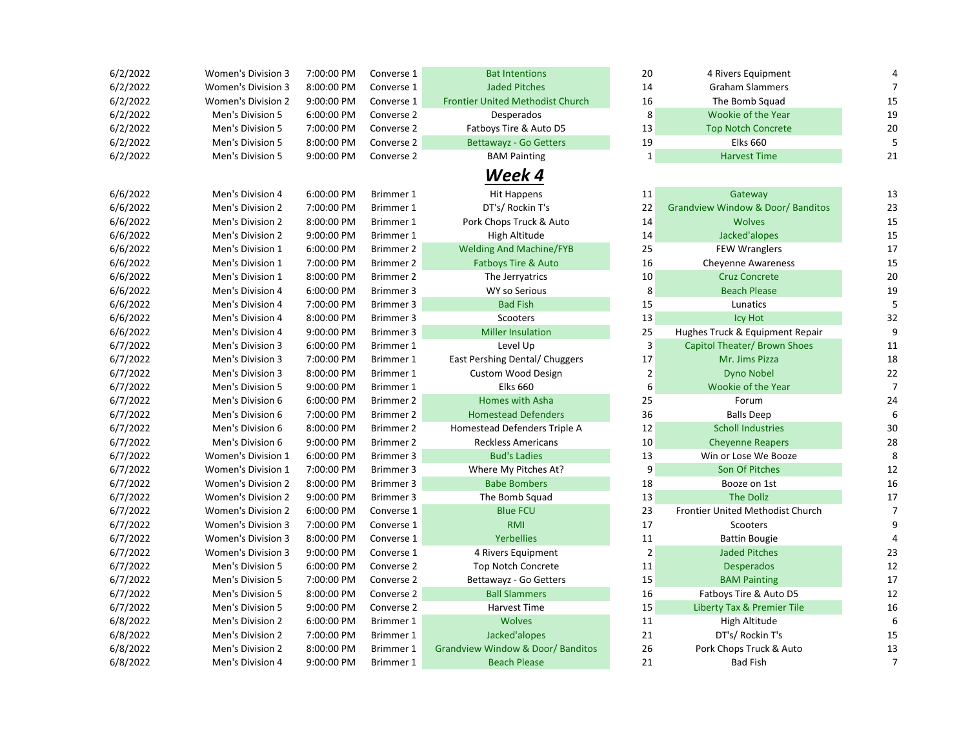| 6/2/2022 | <b>Women's Division 3</b> | 7:00:00 PM | Converse 1       | <b>Bat Intentions</b>                        | 20             | 4 Rivers Equipment                           |                |
|----------|---------------------------|------------|------------------|----------------------------------------------|----------------|----------------------------------------------|----------------|
| 6/2/2022 | Women's Division 3        | 8:00:00 PM | Converse 1       | <b>Jaded Pitches</b>                         | 14             | <b>Graham Slammers</b>                       | 7              |
| 6/2/2022 | <b>Women's Division 2</b> | 9:00:00 PM | Converse 1       | <b>Frontier United Methodist Church</b>      | 16             | The Bomb Squad                               | 15             |
| 6/2/2022 | Men's Division 5          | 6:00:00 PM | Converse 2       | Desperados                                   | 8              | Wookie of the Year                           | 19             |
| 6/2/2022 | Men's Division 5          | 7:00:00 PM | Converse 2       | Fatboys Tire & Auto D5                       | 13             | <b>Top Notch Concrete</b>                    | 20             |
| 6/2/2022 | Men's Division 5          | 8:00:00 PM | Converse 2       | <b>Bettawayz - Go Getters</b>                | 19             | <b>Elks 660</b>                              |                |
| 6/2/2022 | Men's Division 5          | 9:00:00 PM | Converse 2       | <b>BAM Painting</b>                          | $\mathbf{1}$   | <b>Harvest Time</b>                          | 21             |
|          |                           |            |                  | Week 4                                       |                |                                              |                |
| 6/6/2022 | Men's Division 4          | 6:00:00 PM | Brimmer 1        | <b>Hit Happens</b>                           | 11             | Gateway                                      | 13             |
| 6/6/2022 | Men's Division 2          | 7:00:00 PM | Brimmer 1        | DT's/ Rockin T's                             | 22             | <b>Grandview Window &amp; Door/ Banditos</b> | 23             |
| 6/6/2022 | Men's Division 2          | 8:00:00 PM | Brimmer 1        | Pork Chops Truck & Auto                      | 14             | <b>Wolves</b>                                | 15             |
| 6/6/2022 | Men's Division 2          | 9:00:00 PM | Brimmer 1        | High Altitude                                | 14             | Jacked'alopes                                | 15             |
| 6/6/2022 | Men's Division 1          | 6:00:00 PM | Brimmer 2        | <b>Welding And Machine/FYB</b>               | 25             | <b>FEW Wranglers</b>                         | 17             |
| 6/6/2022 | Men's Division 1          | 7:00:00 PM | Brimmer 2        | <b>Fatboys Tire &amp; Auto</b>               | 16             | <b>Cheyenne Awareness</b>                    | 15             |
| 6/6/2022 | Men's Division 1          | 8:00:00 PM | Brimmer 2        | The Jerryatrics                              | 10             | <b>Cruz Concrete</b>                         | 20             |
| 6/6/2022 | Men's Division 4          | 6:00:00 PM | Brimmer 3        | <b>WY so Serious</b>                         | 8              | <b>Beach Please</b>                          | 19             |
| 6/6/2022 | Men's Division 4          | 7:00:00 PM | Brimmer 3        | <b>Bad Fish</b>                              | 15             | Lunatics                                     | 5              |
| 6/6/2022 | Men's Division 4          | 8:00:00 PM | Brimmer 3        | Scooters                                     | 13             | Icy Hot                                      | 32             |
| 6/6/2022 | Men's Division 4          | 9:00:00 PM | Brimmer 3        | <b>Miller Insulation</b>                     | 25             | Hughes Truck & Equipment Repair              | 9              |
| 6/7/2022 | Men's Division 3          | 6:00:00 PM | Brimmer 1        | Level Up                                     | 3              | Capitol Theater/ Brown Shoes                 | 11             |
| 6/7/2022 | Men's Division 3          | 7:00:00 PM | Brimmer 1        | East Pershing Dental/ Chuggers               | 17             | Mr. Jims Pizza                               | 18             |
| 6/7/2022 | Men's Division 3          | 8:00:00 PM | Brimmer 1        | <b>Custom Wood Design</b>                    | $\mathbf{2}$   | <b>Dyno Nobel</b>                            | 22             |
| 6/7/2022 | Men's Division 5          | 9:00:00 PM | Brimmer 1        | <b>Elks 660</b>                              | 6              | Wookie of the Year                           | 7              |
| 6/7/2022 | Men's Division 6          | 6:00:00 PM | Brimmer 2        | Homes with Asha                              | 25             | Forum                                        | 24             |
| 6/7/2022 | Men's Division 6          | 7:00:00 PM | Brimmer 2        | <b>Homestead Defenders</b>                   | 36             | <b>Balls Deep</b>                            | 6              |
| 6/7/2022 | Men's Division 6          | 8:00:00 PM | Brimmer 2        | Homestead Defenders Triple A                 | 12             | <b>Scholl Industries</b>                     | 30             |
| 6/7/2022 | Men's Division 6          | 9:00:00 PM | <b>Brimmer 2</b> | <b>Reckless Americans</b>                    | 10             | <b>Cheyenne Reapers</b>                      | 28             |
| 6/7/2022 | Women's Division 1        | 6:00:00 PM | Brimmer 3        | <b>Bud's Ladies</b>                          | 13             | Win or Lose We Booze                         | 8              |
| 6/7/2022 | Women's Division 1        | 7:00:00 PM | Brimmer 3        | Where My Pitches At?                         | 9              | Son Of Pitches                               | 12             |
| 6/7/2022 | Women's Division 2        | 8:00:00 PM | Brimmer 3        | <b>Babe Bombers</b>                          | 18             | Booze on 1st                                 | 16             |
| 6/7/2022 | <b>Women's Division 2</b> | 9:00:00 PM | Brimmer 3        | The Bomb Squad                               | 13             | <b>The Dollz</b>                             | 17             |
| 6/7/2022 | <b>Women's Division 2</b> | 6:00:00 PM | Converse 1       | <b>Blue FCU</b>                              | 23             | Frontier United Methodist Church             | 7              |
| 6/7/2022 | <b>Women's Division 3</b> | 7:00:00 PM | Converse 1       | <b>RMI</b>                                   | 17             | Scooters                                     | q              |
| 6/7/2022 | Women's Division 3        | 8:00:00 PM | Converse 1       | <b>Yerbellies</b>                            | 11             | <b>Battin Bougie</b>                         |                |
| 6/7/2022 | Women's Division 3        | 9:00:00 PM | Converse 1       | 4 Rivers Equipment                           | $\overline{2}$ | <b>Jaded Pitches</b>                         | 23             |
| 6/7/2022 | Men's Division 5          | 6:00:00 PM | Converse 2       | <b>Top Notch Concrete</b>                    | 11             | <b>Desperados</b>                            | 12             |
| 6/7/2022 | Men's Division 5          | 7:00:00 PM | Converse 2       | Bettawayz - Go Getters                       | 15             | <b>BAM Painting</b>                          | 17             |
| 6/7/2022 | Men's Division 5          | 8:00:00 PM | Converse 2       | <b>Ball Slammers</b>                         | 16             | Fatboys Tire & Auto D5                       | 12             |
| 6/7/2022 | Men's Division 5          | 9:00:00 PM | Converse 2       | Harvest Time                                 | 15             | Liberty Tax & Premier Tile                   | 16             |
| 6/8/2022 | Men's Division 2          | 6:00:00 PM | Brimmer 1        | <b>Wolves</b>                                | 11             | High Altitude                                | 6              |
| 6/8/2022 | Men's Division 2          | 7:00:00 PM | Brimmer 1        | Jacked'alopes                                | 21             | DT's/ Rockin T's                             | 15             |
| 6/8/2022 | Men's Division 2          | 8:00:00 PM | Brimmer 1        | <b>Grandview Window &amp; Door/ Banditos</b> | 26             | Pork Chops Truck & Auto                      | 13             |
| 6/8/2022 | Men's Division 4          | 9:00:00 PM | Brimmer 1        | <b>Beach Please</b>                          | 21             | <b>Bad Fish</b>                              | $\overline{7}$ |

| <b>Graham Slammers</b><br>The Bomb Squad<br><b>Wookie of the Year</b><br><b>Top Notch Concrete</b><br><b>Elks 660</b><br><b>Harvest Time</b><br>Gateway<br><b>Grandview Window &amp; Door/ Banditos</b> | 7<br>15<br>19<br>20<br>5<br>21<br>13                                                                                                                                                        |
|---------------------------------------------------------------------------------------------------------------------------------------------------------------------------------------------------------|---------------------------------------------------------------------------------------------------------------------------------------------------------------------------------------------|
|                                                                                                                                                                                                         |                                                                                                                                                                                             |
|                                                                                                                                                                                                         |                                                                                                                                                                                             |
|                                                                                                                                                                                                         |                                                                                                                                                                                             |
|                                                                                                                                                                                                         |                                                                                                                                                                                             |
|                                                                                                                                                                                                         |                                                                                                                                                                                             |
|                                                                                                                                                                                                         |                                                                                                                                                                                             |
|                                                                                                                                                                                                         |                                                                                                                                                                                             |
|                                                                                                                                                                                                         |                                                                                                                                                                                             |
|                                                                                                                                                                                                         |                                                                                                                                                                                             |
|                                                                                                                                                                                                         | 23                                                                                                                                                                                          |
| <b>Wolves</b>                                                                                                                                                                                           | 15                                                                                                                                                                                          |
| Jacked'alopes                                                                                                                                                                                           | 15                                                                                                                                                                                          |
| <b>FEW Wranglers</b>                                                                                                                                                                                    | 17                                                                                                                                                                                          |
|                                                                                                                                                                                                         | 15                                                                                                                                                                                          |
|                                                                                                                                                                                                         | 20                                                                                                                                                                                          |
|                                                                                                                                                                                                         | 19                                                                                                                                                                                          |
|                                                                                                                                                                                                         | 5                                                                                                                                                                                           |
|                                                                                                                                                                                                         | 32                                                                                                                                                                                          |
|                                                                                                                                                                                                         | 9                                                                                                                                                                                           |
|                                                                                                                                                                                                         | 11                                                                                                                                                                                          |
|                                                                                                                                                                                                         | 18                                                                                                                                                                                          |
| <b>Dyno Nobel</b>                                                                                                                                                                                       | 22                                                                                                                                                                                          |
| <b>Wookie of the Year</b>                                                                                                                                                                               | 7                                                                                                                                                                                           |
| Forum                                                                                                                                                                                                   | 24                                                                                                                                                                                          |
| <b>Balls Deep</b>                                                                                                                                                                                       | 6                                                                                                                                                                                           |
| <b>Scholl Industries</b>                                                                                                                                                                                | 30                                                                                                                                                                                          |
| <b>Cheyenne Reapers</b>                                                                                                                                                                                 | 28                                                                                                                                                                                          |
| Win or Lose We Booze                                                                                                                                                                                    | 8                                                                                                                                                                                           |
| Son Of Pitches                                                                                                                                                                                          | 12                                                                                                                                                                                          |
| Booze on 1st                                                                                                                                                                                            | 16                                                                                                                                                                                          |
| <b>The Dollz</b>                                                                                                                                                                                        | 17                                                                                                                                                                                          |
| <b>Frontier United Methodist Church</b>                                                                                                                                                                 | 7                                                                                                                                                                                           |
| Scooters                                                                                                                                                                                                | 9                                                                                                                                                                                           |
| <b>Battin Bougie</b>                                                                                                                                                                                    | 4                                                                                                                                                                                           |
| <b>Jaded Pitches</b>                                                                                                                                                                                    | 23                                                                                                                                                                                          |
| <b>Desperados</b>                                                                                                                                                                                       | 12                                                                                                                                                                                          |
| <b>BAM Painting</b>                                                                                                                                                                                     | 17                                                                                                                                                                                          |
| Fatboys Tire & Auto D5                                                                                                                                                                                  | 12                                                                                                                                                                                          |
| <b>Liberty Tax &amp; Premier Tile</b>                                                                                                                                                                   | 16                                                                                                                                                                                          |
| High Altitude                                                                                                                                                                                           | 6                                                                                                                                                                                           |
| DT's/ Rockin T's                                                                                                                                                                                        | 15                                                                                                                                                                                          |
| Pork Chops Truck & Auto                                                                                                                                                                                 | 13                                                                                                                                                                                          |
|                                                                                                                                                                                                         |                                                                                                                                                                                             |
|                                                                                                                                                                                                         | <b>Cheyenne Awareness</b><br><b>Cruz Concrete</b><br><b>Beach Please</b><br>Lunatics<br><b>Icy Hot</b><br>Hughes Truck & Equipment Repair<br>Capitol Theater/ Brown Shoes<br>Mr. Jims Pizza |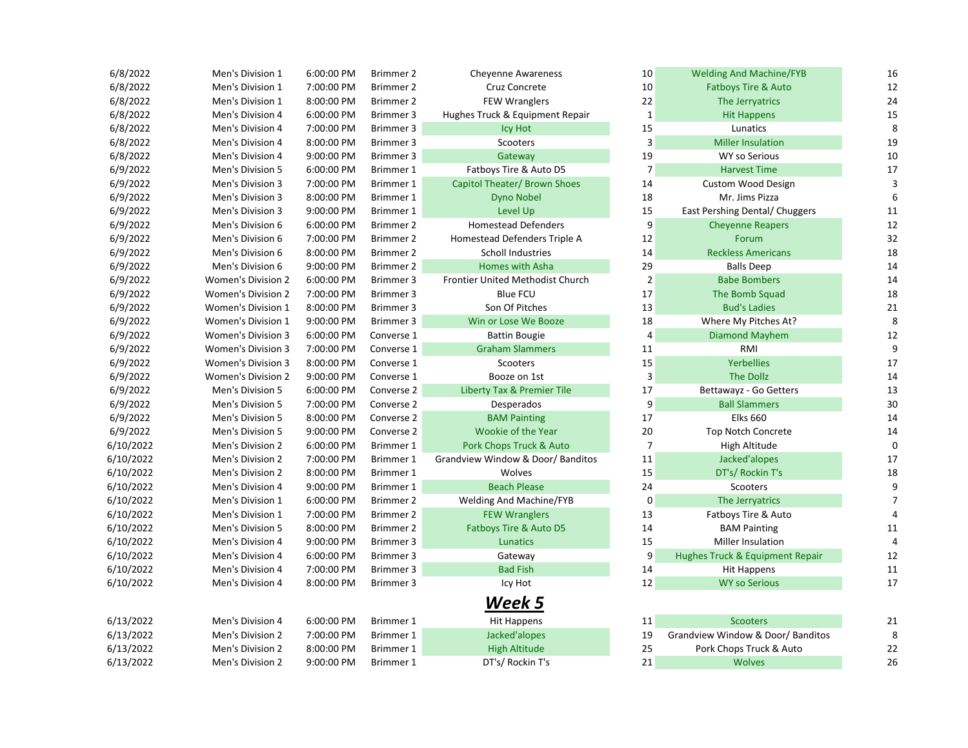| 6/8/2022  | Men's Division 1          | 6:00:00 PM | Brimmer 2  | <b>Cheyenne Awareness</b>             | 10             | <b>Welding And Machine/FYB</b>   | 16 |
|-----------|---------------------------|------------|------------|---------------------------------------|----------------|----------------------------------|----|
| 6/8/2022  | Men's Division 1          | 7:00:00 PM | Brimmer 2  | Cruz Concrete                         | 10             | <b>Fatboys Tire &amp; Auto</b>   | 12 |
| 6/8/2022  | Men's Division 1          | 8:00:00 PM | Brimmer 2  | <b>FEW Wranglers</b>                  | 22             | The Jerryatrics                  | 24 |
| 6/8/2022  | Men's Division 4          | 6:00:00 PM | Brimmer 3  | Hughes Truck & Equipment Repair       | $\mathbf 1$    | <b>Hit Happens</b>               | 15 |
| 6/8/2022  | Men's Division 4          | 7:00:00 PM | Brimmer 3  | <b>Icy Hot</b>                        | 15             | Lunatics                         | 8  |
| 6/8/2022  | Men's Division 4          | 8:00:00 PM | Brimmer 3  | Scooters                              | $\overline{3}$ | <b>Miller Insulation</b>         | 19 |
| 6/8/2022  | Men's Division 4          | 9:00:00 PM | Brimmer 3  | Gateway                               | 19             | <b>WY so Serious</b>             | 10 |
| 6/9/2022  | Men's Division 5          | 6:00:00 PM | Brimmer 1  | Fatboys Tire & Auto D5                | $\overline{7}$ | <b>Harvest Time</b>              | 17 |
| 6/9/2022  | Men's Division 3          | 7:00:00 PM | Brimmer 1  | Capitol Theater/ Brown Shoes          | 14             | Custom Wood Design               | 3  |
| 6/9/2022  | Men's Division 3          | 8:00:00 PM | Brimmer 1  | <b>Dyno Nobel</b>                     | 18             | Mr. Jims Pizza                   | 6  |
| 6/9/2022  | Men's Division 3          | 9:00:00 PM | Brimmer 1  | Level Up                              | 15             | East Pershing Dental/ Chuggers   | 11 |
| 6/9/2022  | Men's Division 6          | 6:00:00 PM | Brimmer 2  | <b>Homestead Defenders</b>            | 9              | <b>Cheyenne Reapers</b>          | 12 |
| 6/9/2022  | Men's Division 6          | 7:00:00 PM | Brimmer 2  | Homestead Defenders Triple A          | 12             | Forum                            | 32 |
| 6/9/2022  | Men's Division 6          | 8:00:00 PM | Brimmer 2  | <b>Scholl Industries</b>              | 14             | <b>Reckless Americans</b>        | 18 |
| 6/9/2022  | Men's Division 6          | 9:00:00 PM | Brimmer 2  | Homes with Asha                       | 29             | <b>Balls Deep</b>                | 14 |
| 6/9/2022  | <b>Women's Division 2</b> | 6:00:00 PM | Brimmer 3  | Frontier United Methodist Church      | $\mathbf 2$    | <b>Babe Bombers</b>              | 14 |
| 6/9/2022  | <b>Women's Division 2</b> | 7:00:00 PM | Brimmer 3  | <b>Blue FCU</b>                       | 17             | The Bomb Squad                   | 18 |
| 6/9/2022  | Women's Division 1        | 8:00:00 PM | Brimmer 3  | Son Of Pitches                        | 13             | <b>Bud's Ladies</b>              | 21 |
| 6/9/2022  | <b>Women's Division 1</b> | 9:00:00 PM | Brimmer 3  | Win or Lose We Booze                  | 18             | Where My Pitches At?             | 8  |
| 6/9/2022  | <b>Women's Division 3</b> | 6:00:00 PM | Converse 1 | <b>Battin Bougie</b>                  | $\overline{4}$ | <b>Diamond Mayhem</b>            | 12 |
| 6/9/2022  | Women's Division 3        | 7:00:00 PM | Converse 1 | <b>Graham Slammers</b>                | 11             | RMI                              | 9  |
| 6/9/2022  | Women's Division 3        | 8:00:00 PM | Converse 1 | Scooters                              | 15             | <b>Yerbellies</b>                | 17 |
| 6/9/2022  | <b>Women's Division 2</b> | 9:00:00 PM | Converse 1 | Booze on 1st                          | 3              | <b>The Dollz</b>                 | 14 |
| 6/9/2022  | Men's Division 5          | 6:00:00 PM | Converse 2 | <b>Liberty Tax &amp; Premier Tile</b> | 17             | Bettawayz - Go Getters           | 13 |
| 6/9/2022  | Men's Division 5          | 7:00:00 PM | Converse 2 | Desperados                            | 9              | <b>Ball Slammers</b>             | 30 |
| 6/9/2022  | Men's Division 5          | 8:00:00 PM | Converse 2 | <b>BAM Painting</b>                   | 17             | <b>Elks 660</b>                  | 14 |
| 6/9/2022  | Men's Division 5          | 9:00:00 PM | Converse 2 | Wookie of the Year                    | 20             | <b>Top Notch Concrete</b>        | 14 |
| 6/10/2022 | Men's Division 2          | 6:00:00 PM | Brimmer 1  | Pork Chops Truck & Auto               | $\overline{7}$ | High Altitude                    | 0  |
| 6/10/2022 | Men's Division 2          | 7:00:00 PM | Brimmer 1  | Grandview Window & Door/ Banditos     | 11             | Jacked'alopes                    | 17 |
| 6/10/2022 | Men's Division 2          | 8:00:00 PM | Brimmer 1  | Wolves                                | 15             | DT's/ Rockin T's                 | 18 |
| 6/10/2022 | Men's Division 4          | 9:00:00 PM | Brimmer 1  | <b>Beach Please</b>                   | 24             | Scooters                         | 9  |
| 6/10/2022 | Men's Division 1          | 6:00:00 PM | Brimmer 2  | Welding And Machine/FYB               | $\mathsf 0$    | The Jerryatrics                  | 7  |
| 6/10/2022 | Men's Division 1          | 7:00:00 PM | Brimmer 2  | <b>FEW Wranglers</b>                  | 13             | Fatboys Tire & Auto              |    |
| 6/10/2022 | Men's Division 5          | 8:00:00 PM | Brimmer 2  | Fatboys Tire & Auto D5                | 14             | <b>BAM Painting</b>              | 11 |
| 6/10/2022 | Men's Division 4          | 9:00:00 PM | Brimmer 3  | Lunatics                              | 15             | Miller Insulation                | 4  |
| 6/10/2022 | Men's Division 4          | 6:00:00 PM | Brimmer 3  | Gateway                               | 9              | Hughes Truck & Equipment Repair  | 12 |
| 6/10/2022 | Men's Division 4          | 7:00:00 PM | Brimmer 3  | <b>Bad Fish</b>                       | 14             | <b>Hit Happens</b>               | 11 |
| 6/10/2022 | Men's Division 4          | 8:00:00 PM | Brimmer 3  | Icy Hot                               | 12             | <b>WY so Serious</b>             | 17 |
|           |                           |            |            | Week 5                                |                |                                  |    |
| 6/13/2022 | Men's Division 4          | 6:00:00 PM | Brimmer 1  | <b>Hit Happens</b>                    | 11             | <b>Scooters</b>                  | 21 |
| 6/13/2022 | Men's Division 2          | 7:00:00 PM | Brimmer 1  | Jacked'alopes                         | 19             | Grandview Window & Door/Banditos | 8  |
| 6/13/2022 | Men's Division 2          | 8:00:00 PM | Brimmer 1  | <b>High Altitude</b>                  | 25             | Pork Chops Truck & Auto          | 22 |
| 6/13/2022 | Men's Division 2          | 9:00:00 PM | Brimmer 1  | DT's/ Rockin T's                      | 21             | <b>Wolves</b>                    | 26 |
|           |                           |            |            |                                       |                |                                  |    |

| 10             | <b>Welding And Machine/FYB</b>  | 16 |
|----------------|---------------------------------|----|
| 10             | <b>Fatboys Tire &amp; Auto</b>  | 12 |
| 22             | The Jerryatrics                 | 24 |
| 1              | <b>Hit Happens</b>              | 15 |
| 15             | Lunatics                        | 8  |
| 3              | <b>Miller Insulation</b>        | 19 |
| 19             | <b>WY so Serious</b>            | 10 |
| 7              | <b>Harvest Time</b>             | 17 |
| 14             | Custom Wood Design              | 3  |
| 18             | Mr. Jims Pizza                  | 6  |
| 15             | East Pershing Dental/ Chuggers  | 11 |
| 9              | <b>Cheyenne Reapers</b>         | 12 |
| 12             | Forum                           | 32 |
| 14             | <b>Reckless Americans</b>       | 18 |
| 29             | <b>Balls Deep</b>               | 14 |
| $\overline{2}$ | <b>Babe Bombers</b>             | 14 |
| 17             | The Bomb Squad                  | 18 |
| 13             | <b>Bud's Ladies</b>             | 21 |
| 18             | Where My Pitches At?            | 8  |
| 4              | <b>Diamond Mayhem</b>           | 12 |
| 11             | RMI                             | 9  |
| 15             | Yerbellies                      | 17 |
| 3              | <b>The Dollz</b>                | 14 |
| 17             | Bettawayz - Go Getters          | 13 |
| 9              | <b>Ball Slammers</b>            | 30 |
| 17             | <b>Elks 660</b>                 | 14 |
| 20             | <b>Top Notch Concrete</b>       | 14 |
| 7              | <b>High Altitude</b>            | 0  |
| 11             | Jacked'alopes                   | 17 |
| 15             | DT's/ Rockin T's                | 18 |
| 24             | Scooters                        | 9  |
| 0              | The Jerryatrics                 | 7  |
| 13             | Fatboys Tire & Auto             | 4  |
| 14             | <b>BAM Painting</b>             | 11 |
| 15             | <b>Miller Insulation</b>        | 4  |
| 9              | Hughes Truck & Equipment Repair | 12 |
| 14             | <b>Hit Happens</b>              | 11 |
| 12             | <b>WY so Serious</b>            | 17 |
|                |                                 |    |
| 11             | <b>Scooters</b>                 | 21 |
|                |                                 |    |

|              | Scooters                         |    |
|--------------|----------------------------------|----|
| 9            | Grandview Window & Door/Banditos | 8  |
| 5            | Pork Chops Truck & Auto          | 22 |
| $\mathbf{1}$ | <b>Wolves</b>                    | 26 |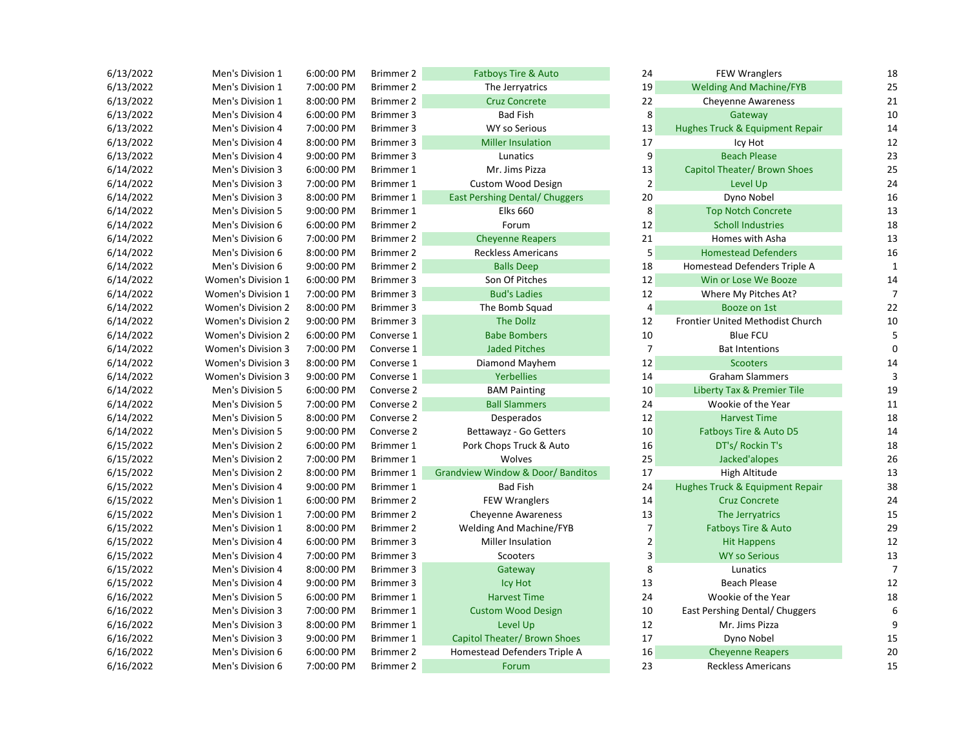| 6/13/2022 | Men's Division 1          | 6:00:00 PM | Brimmer 2  | <b>Fatboys Tire &amp; Auto</b>               | 24               | <b>FEW Wranglers</b>                  | 18 |
|-----------|---------------------------|------------|------------|----------------------------------------------|------------------|---------------------------------------|----|
| 6/13/2022 | Men's Division 1          | 7:00:00 PM | Brimmer 2  | The Jerryatrics                              | 19               | <b>Welding And Machine/FYB</b>        | 25 |
| 6/13/2022 | Men's Division 1          | 8:00:00 PM | Brimmer 2  | <b>Cruz Concrete</b>                         | 22               | <b>Cheyenne Awareness</b>             | 21 |
| 6/13/2022 | Men's Division 4          | 6:00:00 PM | Brimmer 3  | <b>Bad Fish</b>                              | 8                | Gateway                               | 10 |
| 6/13/2022 | Men's Division 4          | 7:00:00 PM | Brimmer 3  | <b>WY so Serious</b>                         | 13               | Hughes Truck & Equipment Repair       | 14 |
| 6/13/2022 | Men's Division 4          | 8:00:00 PM | Brimmer 3  | <b>Miller Insulation</b>                     | 17               | Icy Hot                               | 12 |
| 6/13/2022 | Men's Division 4          | 9:00:00 PM | Brimmer 3  | Lunatics                                     | 9                | <b>Beach Please</b>                   | 23 |
| 6/14/2022 | Men's Division 3          | 6:00:00 PM | Brimmer 1  | Mr. Jims Pizza                               | 13               | Capitol Theater/ Brown Shoes          | 25 |
| 6/14/2022 | Men's Division 3          | 7:00:00 PM | Brimmer 1  | <b>Custom Wood Design</b>                    | $\overline{2}$   | Level Up                              | 24 |
| 6/14/2022 | Men's Division 3          | 8:00:00 PM | Brimmer 1  | <b>East Pershing Dental/ Chuggers</b>        | 20               | Dyno Nobel                            | 16 |
| 6/14/2022 | Men's Division 5          | 9:00:00 PM | Brimmer 1  | <b>Elks 660</b>                              | 8                | <b>Top Notch Concrete</b>             | 13 |
| 6/14/2022 | Men's Division 6          | 6:00:00 PM | Brimmer 2  | Forum                                        | 12               | <b>Scholl Industries</b>              | 18 |
| 6/14/2022 | Men's Division 6          | 7:00:00 PM | Brimmer 2  | <b>Cheyenne Reapers</b>                      | 21               | Homes with Asha                       | 13 |
| 6/14/2022 | Men's Division 6          | 8:00:00 PM | Brimmer 2  | <b>Reckless Americans</b>                    | 5                | <b>Homestead Defenders</b>            | 16 |
| 6/14/2022 | Men's Division 6          | 9:00:00 PM | Brimmer 2  | <b>Balls Deep</b>                            | 18               | Homestead Defenders Triple A          |    |
| 6/14/2022 | <b>Women's Division 1</b> | 6:00:00 PM | Brimmer 3  | Son Of Pitches                               | 12               | Win or Lose We Booze                  | 14 |
| 6/14/2022 | <b>Women's Division 1</b> | 7:00:00 PM | Brimmer 3  | <b>Bud's Ladies</b>                          | 12               | Where My Pitches At?                  | 7  |
| 6/14/2022 | Women's Division 2        | 8:00:00 PM | Brimmer 3  | The Bomb Squad                               | $\overline{4}$   | Booze on 1st                          | 22 |
| 6/14/2022 | <b>Women's Division 2</b> | 9:00:00 PM | Brimmer 3  | The Dollz                                    | 12               | Frontier United Methodist Church      | 10 |
| 6/14/2022 | <b>Women's Division 2</b> | 6:00:00 PM | Converse 1 | <b>Babe Bombers</b>                          | 10               | <b>Blue FCU</b>                       | 5  |
| 6/14/2022 | <b>Women's Division 3</b> | 7:00:00 PM | Converse 1 | <b>Jaded Pitches</b>                         | $\boldsymbol{7}$ | <b>Bat Intentions</b>                 | 0  |
| 6/14/2022 | Women's Division 3        | 8:00:00 PM | Converse 1 | Diamond Mayhem                               | 12               | Scooters                              | 14 |
| 6/14/2022 | <b>Women's Division 3</b> | 9:00:00 PM | Converse 1 | <b>Yerbellies</b>                            | 14               | <b>Graham Slammers</b>                |    |
| 6/14/2022 | Men's Division 5          | 6:00:00 PM | Converse 2 | <b>BAM Painting</b>                          | 10               | <b>Liberty Tax &amp; Premier Tile</b> | 19 |
| 6/14/2022 | Men's Division 5          | 7:00:00 PM | Converse 2 | <b>Ball Slammers</b>                         | 24               | Wookie of the Year                    | 11 |
| 6/14/2022 | Men's Division 5          | 8:00:00 PM | Converse 2 | Desperados                                   | 12               | <b>Harvest Time</b>                   | 18 |
| 6/14/2022 | Men's Division 5          | 9:00:00 PM | Converse 2 | Bettawayz - Go Getters                       | 10               | Fatboys Tire & Auto D5                | 14 |
| 6/15/2022 | Men's Division 2          | 6:00:00 PM | Brimmer 1  | Pork Chops Truck & Auto                      | 16               | DT's/ Rockin T's                      | 18 |
| 6/15/2022 | Men's Division 2          | 7:00:00 PM | Brimmer 1  | Wolves                                       | 25               | Jacked'alopes                         | 26 |
| 6/15/2022 | Men's Division 2          | 8:00:00 PM | Brimmer 1  | <b>Grandview Window &amp; Door/ Banditos</b> | 17               | High Altitude                         | 13 |
| 6/15/2022 | Men's Division 4          | 9:00:00 PM | Brimmer 1  | <b>Bad Fish</b>                              | 24               | Hughes Truck & Equipment Repair       | 38 |
| 6/15/2022 | Men's Division 1          | 6:00:00 PM | Brimmer 2  | <b>FEW Wranglers</b>                         | 14               | <b>Cruz Concrete</b>                  | 24 |
| 6/15/2022 | Men's Division 1          | 7:00:00 PM | Brimmer 2  | <b>Cheyenne Awareness</b>                    | 13               | The Jerryatrics                       | 15 |
| 6/15/2022 | Men's Division 1          | 8:00:00 PM | Brimmer 2  | Welding And Machine/FYB                      | $\overline{7}$   | <b>Fatboys Tire &amp; Auto</b>        | 29 |
| 6/15/2022 | Men's Division 4          | 6:00:00 PM | Brimmer 3  | Miller Insulation                            | $\overline{2}$   | <b>Hit Happens</b>                    | 12 |
| 6/15/2022 | Men's Division 4          | 7:00:00 PM | Brimmer 3  | Scooters                                     | 3                | <b>WY so Serious</b>                  | 13 |
| 6/15/2022 | Men's Division 4          | 8:00:00 PM | Brimmer 3  | Gateway                                      | 8                | Lunatics                              | 7  |
| 6/15/2022 | Men's Division 4          | 9:00:00 PM | Brimmer 3  | <b>Icy Hot</b>                               | 13               | Beach Please                          | 12 |
| 6/16/2022 | Men's Division 5          | 6:00:00 PM | Brimmer 1  | <b>Harvest Time</b>                          | 24               | Wookie of the Year                    | 18 |
| 6/16/2022 | Men's Division 3          | 7:00:00 PM | Brimmer 1  | <b>Custom Wood Design</b>                    | 10               | East Pershing Dental/ Chuggers        | 6  |
| 6/16/2022 | Men's Division 3          | 8:00:00 PM | Brimmer 1  | Level Up                                     | 12               | Mr. Jims Pizza                        | 9  |
| 6/16/2022 | Men's Division 3          | 9:00:00 PM | Brimmer 1  | Capitol Theater/ Brown Shoes                 | 17               | Dyno Nobel                            | 15 |
| 6/16/2022 | Men's Division 6          | 6:00:00 PM | Brimmer 2  | Homestead Defenders Triple A                 | 16               | <b>Cheyenne Reapers</b>               | 20 |
| 6/16/2022 | Men's Division 6          | 7:00:00 PM | Brimmer 2  | Forum                                        | 23               | <b>Reckless Americans</b>             | 15 |

| 24             | <b>FEW Wranglers</b>                    | 18 |
|----------------|-----------------------------------------|----|
| 19             | <b>Welding And Machine/FYB</b>          | 25 |
| 22             | <b>Cheyenne Awareness</b>               | 21 |
| 8              | Gateway                                 | 10 |
| 13             | Hughes Truck & Equipment Repair         | 14 |
| 17             | Icy Hot                                 | 12 |
| 9              | <b>Beach Please</b>                     | 23 |
| 13             | <b>Capitol Theater/ Brown Shoes</b>     | 25 |
| $\overline{2}$ | Level Up                                | 24 |
| 20             | Dyno Nobel                              | 16 |
| 8              | <b>Top Notch Concrete</b>               | 13 |
| 12             | <b>Scholl Industries</b>                | 18 |
| 21             | Homes with Asha                         | 13 |
| 5              | <b>Homestead Defenders</b>              | 16 |
| 18             | Homestead Defenders Triple A            | 1  |
| 12             | Win or Lose We Booze                    | 14 |
| 12             | Where My Pitches At?                    | 7  |
| 4              | Booze on 1st                            | 22 |
| 12             | <b>Frontier United Methodist Church</b> | 10 |
| 10             | <b>Blue FCU</b>                         | 5  |
| 7              | <b>Bat Intentions</b>                   | 0  |
| 12             | <b>Scooters</b>                         | 14 |
| 14             | <b>Graham Slammers</b>                  | 3  |
| 10             | <b>Liberty Tax &amp; Premier Tile</b>   | 19 |
| 24             | Wookie of the Year                      | 11 |
| 12             | <b>Harvest Time</b>                     | 18 |
| 10             | <b>Fatboys Tire &amp; Auto D5</b>       | 14 |
| 16             | DT's/ Rockin T's                        | 18 |
| 25             | Jacked'alopes                           | 26 |
| 17             | High Altitude                           | 13 |
| 24             | Hughes Truck & Equipment Repair         | 38 |
| 14             | <b>Cruz Concrete</b>                    | 24 |
| 13             | The Jerryatrics                         | 15 |
| 7              | <b>Fatboys Tire &amp; Auto</b>          | 29 |
| $\overline{2}$ | <b>Hit Happens</b>                      | 12 |
| 3              | <b>WY so Serious</b>                    | 13 |
| 8              | Lunatics                                | 7  |
| 13             | <b>Beach Please</b>                     | 12 |
| 24             | Wookie of the Year                      | 18 |
| 10             | East Pershing Dental/ Chuggers          | 6  |
| 12             | Mr. Jims Pizza                          | 9  |
| 17             | Dyno Nobel                              | 15 |
| 16             | <b>Chevenne Reapers</b>                 | 20 |
| 23             | <b>Reckless Americans</b>               | 15 |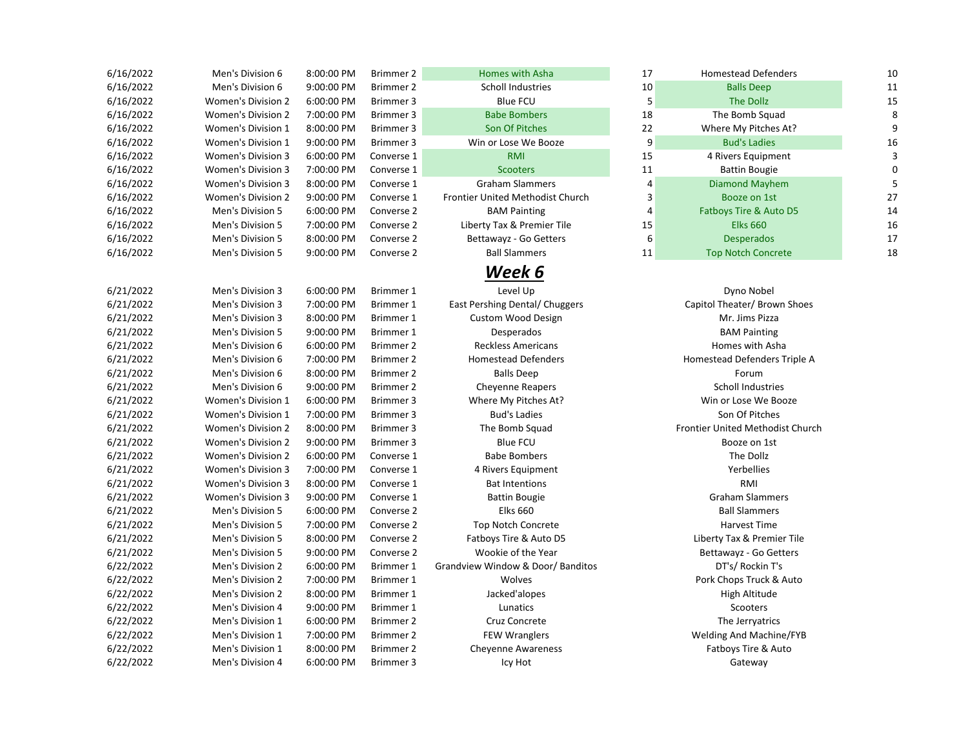| 6/16/2022 | Men's Division 6          | 8:00:00 PM | Brimmer 2        | Homes with Asha                         | 17             | <b>Homestead Defenders</b>       | 10          |
|-----------|---------------------------|------------|------------------|-----------------------------------------|----------------|----------------------------------|-------------|
| 6/16/2022 | Men's Division 6          | 9:00:00 PM | Brimmer 2        | Scholl Industries                       | $10\,$         | <b>Balls Deep</b>                | 11          |
| 6/16/2022 | Women's Division 2        | 6:00:00 PM | Brimmer 3        | <b>Blue FCU</b>                         | 5              | The Dollz                        | 15          |
| 6/16/2022 | <b>Women's Division 2</b> | 7:00:00 PM | Brimmer 3        | <b>Babe Bombers</b>                     | 18             | The Bomb Squad                   | 8           |
| 6/16/2022 | Women's Division 1        | 8:00:00 PM | Brimmer 3        | Son Of Pitches                          | 22             | Where My Pitches At?             | 9           |
| 6/16/2022 | Women's Division 1        | 9:00:00 PM | Brimmer 3        | Win or Lose We Booze                    | 9              | <b>Bud's Ladies</b>              | 16          |
| 6/16/2022 | Women's Division 3        | 6:00:00 PM | Converse 1       | <b>RMI</b>                              | 15             | 4 Rivers Equipment               | 3           |
| 6/16/2022 | <b>Women's Division 3</b> | 7:00:00 PM | Converse 1       | <b>Scooters</b>                         | 11             | <b>Battin Bougie</b>             | $\mathbf 0$ |
| 6/16/2022 | <b>Women's Division 3</b> | 8:00:00 PM | Converse 1       | <b>Graham Slammers</b>                  | 4              | <b>Diamond Mayhem</b>            | 5           |
| 6/16/2022 | <b>Women's Division 2</b> | 9:00:00 PM | Converse 1       | <b>Frontier United Methodist Church</b> | 3              | Booze on 1st                     | 27          |
| 6/16/2022 | Men's Division 5          | 6:00:00 PM | Converse 2       | <b>BAM Painting</b>                     | $\overline{4}$ | Fatboys Tire & Auto D5           | 14          |
| 6/16/2022 | Men's Division 5          | 7:00:00 PM | Converse 2       | Liberty Tax & Premier Tile              | 15             | <b>Elks 660</b>                  | 16          |
| 6/16/2022 | Men's Division 5          | 8:00:00 PM | Converse 2       | Bettawayz - Go Getters                  | 6              | <b>Desperados</b>                | 17          |
| 6/16/2022 | Men's Division 5          | 9:00:00 PM | Converse 2       | <b>Ball Slammers</b>                    | 11             | <b>Top Notch Concrete</b>        | 18          |
|           |                           |            |                  | Week 6                                  |                |                                  |             |
| 6/21/2022 | Men's Division 3          | 6:00:00 PM | Brimmer 1        | Level Up                                |                | Dyno Nobel                       |             |
| 6/21/2022 | Men's Division 3          | 7:00:00 PM | Brimmer 1        | East Pershing Dental/ Chuggers          |                | Capitol Theater/ Brown Shoes     |             |
| 6/21/2022 | Men's Division 3          | 8:00:00 PM | Brimmer 1        | <b>Custom Wood Design</b>               |                | Mr. Jims Pizza                   |             |
| 6/21/2022 | Men's Division 5          | 9:00:00 PM | Brimmer 1        | Desperados                              |                | <b>BAM Painting</b>              |             |
| 6/21/2022 | Men's Division 6          | 6:00:00 PM | Brimmer 2        | <b>Reckless Americans</b>               |                | Homes with Asha                  |             |
| 6/21/2022 | Men's Division 6          | 7:00:00 PM | Brimmer 2        | <b>Homestead Defenders</b>              |                | Homestead Defenders Triple A     |             |
| 6/21/2022 | Men's Division 6          | 8:00:00 PM | Brimmer 2        | <b>Balls Deep</b>                       |                | Forum                            |             |
| 6/21/2022 | Men's Division 6          | 9:00:00 PM | Brimmer 2        | <b>Cheyenne Reapers</b>                 |                | Scholl Industries                |             |
| 6/21/2022 | <b>Women's Division 1</b> | 6:00:00 PM | Brimmer 3        | Where My Pitches At?                    |                | Win or Lose We Booze             |             |
| 6/21/2022 | <b>Women's Division 1</b> | 7:00:00 PM | Brimmer 3        | <b>Bud's Ladies</b>                     |                | Son Of Pitches                   |             |
| 6/21/2022 | <b>Women's Division 2</b> | 8:00:00 PM | Brimmer 3        | The Bomb Squad                          |                | Frontier United Methodist Church |             |
| 6/21/2022 | <b>Women's Division 2</b> | 9:00:00 PM | Brimmer 3        | <b>Blue FCU</b>                         |                | Booze on 1st                     |             |
| 6/21/2022 | <b>Women's Division 2</b> | 6:00:00 PM | Converse 1       | <b>Babe Bombers</b>                     |                | The Dollz                        |             |
| 6/21/2022 | Women's Division 3        | 7:00:00 PM | Converse 1       | 4 Rivers Equipment                      |                | Yerbellies                       |             |
| 6/21/2022 | Women's Division 3        | 8:00:00 PM | Converse 1       | <b>Bat Intentions</b>                   |                | RMI                              |             |
| 6/21/2022 | <b>Women's Division 3</b> | 9:00:00 PM | Converse 1       | <b>Battin Bougie</b>                    |                | <b>Graham Slammers</b>           |             |
| 6/21/2022 | Men's Division 5          | 6:00:00 PM | Converse 2       | <b>Elks 660</b>                         |                | <b>Ball Slammers</b>             |             |
| 6/21/2022 | Men's Division 5          | 7:00:00 PM | Converse 2       | <b>Top Notch Concrete</b>               |                | Harvest Time                     |             |
| 6/21/2022 | Men's Division 5          | 8:00:00 PM | Converse 2       | Fatboys Tire & Auto D5                  |                | Liberty Tax & Premier Tile       |             |
| 6/21/2022 | Men's Division 5          | 9:00:00 PM | Converse 2       | Wookie of the Year                      |                | Bettawayz - Go Getters           |             |
| 6/22/2022 | Men's Division 2          | 6:00:00 PM | Brimmer 1        | Grandview Window & Door/Banditos        |                | DT's/ Rockin T's                 |             |
| 6/22/2022 | Men's Division 2          | 7:00:00 PM | Brimmer 1        | Wolves                                  |                | Pork Chops Truck & Auto          |             |
| 6/22/2022 | Men's Division 2          | 8:00:00 PM | Brimmer 1        | Jacked'alopes                           |                | High Altitude                    |             |
| 6/22/2022 | Men's Division 4          | 9:00:00 PM | Brimmer 1        | Lunatics                                |                | Scooters                         |             |
| 6/22/2022 | Men's Division 1          | 6:00:00 PM | Brimmer 2        | Cruz Concrete                           |                | The Jerryatrics                  |             |
| 6/22/2022 | Men's Division 1          | 7:00:00 PM | Brimmer 2        | <b>FEW Wranglers</b>                    |                | Welding And Machine/FYB          |             |
| 6/22/2022 | Men's Division 1          | 8:00:00 PM | <b>Brimmer 2</b> | <b>Cheyenne Awareness</b>               |                | Fatboys Tire & Auto              |             |
| 6/22/2022 | Men's Division 4          | 6:00:00 PM | Brimmer 3        | Icy Hot                                 |                | Gateway                          |             |

| 17              | <b>Homestead Defenders</b> | 10 |
|-----------------|----------------------------|----|
| 10              | <b>Balls Deep</b>          | 11 |
| 5               | <b>The Dollz</b>           | 15 |
| 18              | The Bomb Squad             | 8  |
| 22              | Where My Pitches At?       | 9  |
| 9               | <b>Bud's Ladies</b>        | 16 |
| 15              | 4 Rivers Equipment         | 3  |
| $\overline{11}$ | <b>Battin Bougie</b>       | 0  |
| $\overline{4}$  | <b>Diamond Mayhem</b>      | 5  |
| $\overline{3}$  | Booze on 1st               | 27 |
| 4               | Fatboys Tire & Auto D5     | 14 |
| 15              | <b>Elks 660</b>            | 16 |
| 6               | <b>Desperados</b>          | 17 |
| 11              | <b>Top Notch Concrete</b>  | 18 |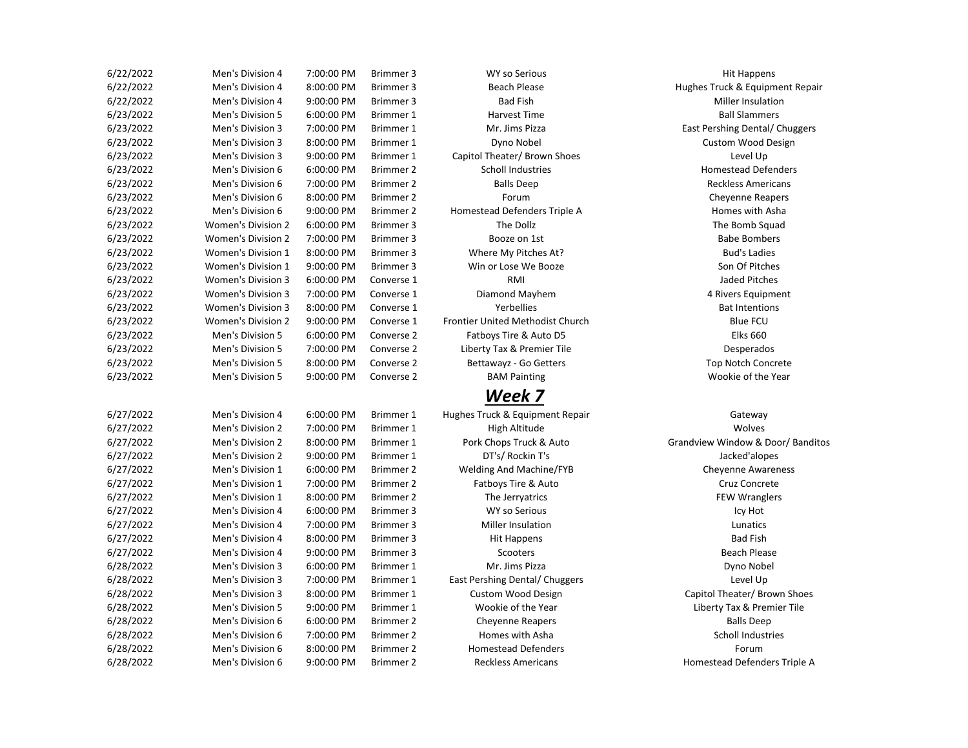| 6/22/2022 | Men's Division 4          | 7:00:00 PM | Brimmer 3  | <b>WY so Serious</b>             | <b>Hit Happens</b>            |
|-----------|---------------------------|------------|------------|----------------------------------|-------------------------------|
| 6/22/2022 | Men's Division 4          | 8:00:00 PM | Brimmer 3  | <b>Beach Please</b>              | Hughes Truck & Equipmen       |
| 6/22/2022 | Men's Division 4          | 9:00:00 PM | Brimmer 3  | <b>Bad Fish</b>                  | Miller Insulation             |
| 6/23/2022 | Men's Division 5          | 6:00:00 PM | Brimmer 1  | Harvest Time                     | <b>Ball Slammers</b>          |
| 6/23/2022 | Men's Division 3          | 7:00:00 PM | Brimmer 1  | Mr. Jims Pizza                   | East Pershing Dental/ Chu     |
| 6/23/2022 | Men's Division 3          | 8:00:00 PM | Brimmer 1  | Dyno Nobel                       | <b>Custom Wood Desig</b>      |
| 6/23/2022 | Men's Division 3          | 9:00:00 PM | Brimmer 1  | Capitol Theater/ Brown Shoes     | Level Up                      |
| 6/23/2022 | Men's Division 6          | 6:00:00 PM | Brimmer 2  | <b>Scholl Industries</b>         | <b>Homestead Defende</b>      |
| 6/23/2022 | Men's Division 6          | 7:00:00 PM | Brimmer 2  | <b>Balls Deep</b>                | <b>Reckless Americans</b>     |
| 6/23/2022 | Men's Division 6          | 8:00:00 PM | Brimmer 2  | Forum                            | <b>Cheyenne Reapers</b>       |
| 6/23/2022 | Men's Division 6          | 9:00:00 PM | Brimmer 2  | Homestead Defenders Triple A     | Homes with Asha               |
| 6/23/2022 | <b>Women's Division 2</b> | 6:00:00 PM | Brimmer 3  | The Dollz                        | The Bomb Squad                |
| 6/23/2022 | <b>Women's Division 2</b> | 7:00:00 PM | Brimmer 3  | Booze on 1st                     | <b>Babe Bombers</b>           |
| 6/23/2022 | <b>Women's Division 1</b> | 8:00:00 PM | Brimmer 3  | Where My Pitches At?             | <b>Bud's Ladies</b>           |
| 6/23/2022 | Women's Division 1        | 9:00:00 PM | Brimmer 3  | Win or Lose We Booze             | Son Of Pitches                |
| 6/23/2022 | <b>Women's Division 3</b> | 6:00:00 PM | Converse 1 | RMI                              | <b>Jaded Pitches</b>          |
| 6/23/2022 | <b>Women's Division 3</b> | 7:00:00 PM | Converse 1 | Diamond Mayhem                   | 4 Rivers Equipment            |
| 6/23/2022 | <b>Women's Division 3</b> | 8:00:00 PM | Converse 1 | Yerbellies                       | <b>Bat Intentions</b>         |
| 6/23/2022 | <b>Women's Division 2</b> | 9:00:00 PM | Converse 1 | Frontier United Methodist Church | <b>Blue FCU</b>               |
| 6/23/2022 | Men's Division 5          | 6:00:00 PM | Converse 2 | Fatboys Tire & Auto D5           | <b>Elks 660</b>               |
| 6/23/2022 | Men's Division 5          | 7:00:00 PM | Converse 2 | Liberty Tax & Premier Tile       | Desperados                    |
| 6/23/2022 | Men's Division 5          | 8:00:00 PM | Converse 2 | Bettawayz - Go Getters           | <b>Top Notch Concrete</b>     |
| 6/23/2022 | Men's Division 5          | 9:00:00 PM | Converse 2 | <b>BAM Painting</b>              | Wookie of the Year            |
|           |                           |            |            | Week 7                           |                               |
| 6/27/2022 | Men's Division 4          | 6:00:00 PM | Brimmer 1  | Hughes Truck & Equipment Repair  | Gateway                       |
| 6/27/2022 | Men's Division 2          | 7:00:00 PM | Brimmer 1  | High Altitude                    | Wolves                        |
| 6/27/2022 | Men's Division 2          | 8:00:00 PM | Brimmer 1  | Pork Chops Truck & Auto          | Grandview Window & Door/      |
| 6/27/2022 | Men's Division 2          | 9:00:00 PM | Brimmer 1  | DT's/ Rockin T's                 | Jacked'alopes                 |
| 6/27/2022 | Men's Division 1          | 6:00:00 PM | Brimmer 2  | Welding And Machine/FYB          | Cheyenne Awarenes             |
| 6/27/2022 | Men's Division 1          | 7:00:00 PM | Brimmer 2  | Fatboys Tire & Auto              | Cruz Concrete                 |
| 6/27/2022 | Men's Division 1          | 8:00:00 PM | Brimmer 2  | The Jerryatrics                  | <b>FEW Wranglers</b>          |
| 6/27/2022 | Men's Division 4          | 6:00:00 PM | Brimmer 3  | <b>WY so Serious</b>             | Icy Hot                       |
| 6/27/2022 | Men's Division 4          | 7:00:00 PM | Brimmer 3  | Miller Insulation                | Lunatics                      |
| 6/27/2022 | Men's Division 4          | 8:00:00 PM | Brimmer 3  | Hit Happens                      | <b>Bad Fish</b>               |
| 6/27/2022 | Men's Division 4          | 9:00:00 PM | Brimmer 3  | Scooters                         | <b>Beach Please</b>           |
| 6/28/2022 | Men's Division 3          | 6:00:00 PM | Brimmer 1  | Mr. Jims Pizza                   | Dyno Nobel                    |
| 6/28/2022 | Men's Division 3          | 7:00:00 PM | Brimmer 1  | East Pershing Dental/ Chuggers   | Level Up                      |
| 6/28/2022 | Men's Division 3          | 8:00:00 PM | Brimmer 1  | <b>Custom Wood Design</b>        | Capitol Theater/ Brown 9      |
| 6/28/2022 | Men's Division 5          | 9:00:00 PM | Brimmer 1  | Wookie of the Year               | Liberty Tax & Premier         |
| 6/28/2022 | Men's Division 6          | 6:00:00 PM | Brimmer 2  | <b>Cheyenne Reapers</b>          | <b>Balls Deep</b>             |
| 6/28/2022 | Men's Division 6          | 7:00:00 PM | Brimmer 2  | Homes with Asha                  | Scholl Industries             |
| 6/28/2022 | Men's Division 6          | 8:00:00 PM | Brimmer 2  | <b>Homestead Defenders</b>       | Forum                         |
| 6/28/2022 | Men's Division 6          | 9:00:00 PM | Brimmer 2  | <b>Reckless Americans</b>        | <b>Homestead Defenders Tr</b> |

## *Week 7*

Beach Please **Men's Contract A Britain 4 8:000 Please Hughes Truck & Equipment Repair** Mr. Jims Pizza **Manual 2 7:00:00 PM Britain 3 7:00:00 PM Britain 2 7:00:00 PM Britain 2 7:00:00 PM Britain 2 7:00:00 PM Britain 2 7:00:00 PM Britain 2 7:00:00 PM Britain 2 7:00:00 PM Britain 2 7:00:00 PM Britain 2 7:00:00** Dyno Nobel **Division 3 8:00:00 PM Britain 3 8:00:00 PM Bright 2 8:00:00 PM Bright 2 8:00:00 PM Bright 2 8:00:00 PM Bright 2 8:00:00 PM Bright 2 8:00:00 PM Bright 2 8:00:00 PM Bright 2 8:00:00 PM Bright 2 8:00:00 PM Bright** 

Pork Chops Truck & Auto **Chops Chops Truck & Auto Chops Auto Grandview Window & Door/ Banditos** Custom Wood Design **Capitol Theater/ Brown Shoes** Capitol Theater/ Brown Shoes Wookie of the Year **Manual Exception 5 9:00 PM Bridge Except** Liberty Tax & Premier Tile Reckless Americans **Exercise 2 8:00:00 PM Brimmer 2 Americans** Homestead Defenders Triple A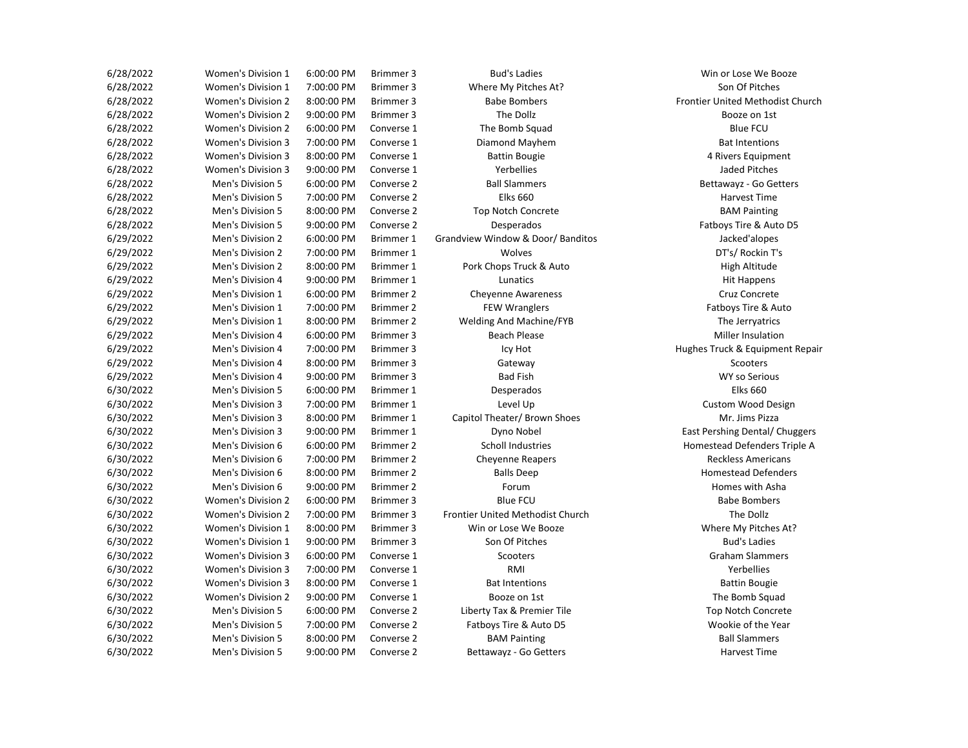| 6/28/2022 | <b>Women's Division 1</b> | 6:00:00 PM | Brimmer 3  | <b>Bud's Ladies</b>              | Win or Lose We Boo:              |
|-----------|---------------------------|------------|------------|----------------------------------|----------------------------------|
| 6/28/2022 | Women's Division 1        | 7:00:00 PM | Brimmer 3  | Where My Pitches At?             | Son Of Pitches                   |
| 6/28/2022 | Women's Division 2        | 8:00:00 PM | Brimmer 3  | <b>Babe Bombers</b>              | <b>Frontier United Methodist</b> |
| 6/28/2022 | Women's Division 2        | 9:00:00 PM | Brimmer 3  | The Dollz                        | Booze on 1st                     |
| 6/28/2022 | <b>Women's Division 2</b> | 6:00:00 PM | Converse 1 | The Bomb Squad                   | <b>Blue FCU</b>                  |
| 6/28/2022 | Women's Division 3        | 7:00:00 PM | Converse 1 | Diamond Mayhem                   | <b>Bat Intentions</b>            |
| 6/28/2022 | <b>Women's Division 3</b> | 8:00:00 PM | Converse 1 | <b>Battin Bougie</b>             | 4 Rivers Equipment               |
| 6/28/2022 | <b>Women's Division 3</b> | 9:00:00 PM | Converse 1 | Yerbellies                       | Jaded Pitches                    |
| 6/28/2022 | Men's Division 5          | 6:00:00 PM | Converse 2 | <b>Ball Slammers</b>             | Bettawayz - Go Gette             |
| 6/28/2022 | Men's Division 5          | 7:00:00 PM | Converse 2 | <b>Elks 660</b>                  | Harvest Time                     |
| 6/28/2022 | Men's Division 5          | 8:00:00 PM | Converse 2 | <b>Top Notch Concrete</b>        | <b>BAM Painting</b>              |
| 6/28/2022 | Men's Division 5          | 9:00:00 PM | Converse 2 | Desperados                       | Fatboys Tire & Auto I            |
| 6/29/2022 | Men's Division 2          | 6:00:00 PM | Brimmer 1  | Grandview Window & Door/Banditos | Jacked'alopes                    |
| 6/29/2022 | Men's Division 2          | 7:00:00 PM | Brimmer 1  | Wolves                           | DT's/ Rockin T's                 |
| 6/29/2022 | Men's Division 2          | 8:00:00 PM | Brimmer 1  | Pork Chops Truck & Auto          | High Altitude                    |
| 6/29/2022 | Men's Division 4          | 9:00:00 PM | Brimmer 1  | Lunatics                         | <b>Hit Happens</b>               |
| 6/29/2022 | Men's Division 1          | 6:00:00 PM | Brimmer 2  | <b>Cheyenne Awareness</b>        | Cruz Concrete                    |
| 6/29/2022 | Men's Division 1          | 7:00:00 PM | Brimmer 2  | <b>FEW Wranglers</b>             | Fatboys Tire & Auto              |
| 6/29/2022 | Men's Division 1          | 8:00:00 PM | Brimmer 2  | Welding And Machine/FYB          | The Jerryatrics                  |
| 6/29/2022 | Men's Division 4          | 6:00:00 PM | Brimmer 3  | <b>Beach Please</b>              | Miller Insulation                |
| 6/29/2022 | Men's Division 4          | 7:00:00 PM | Brimmer 3  | Icy Hot                          | Hughes Truck & Equipmen          |
| 6/29/2022 | Men's Division 4          | 8:00:00 PM | Brimmer 3  | Gateway                          | Scooters                         |
| 6/29/2022 | Men's Division 4          | 9:00:00 PM | Brimmer 3  | <b>Bad Fish</b>                  | <b>WY so Serious</b>             |
| 6/30/2022 | Men's Division 5          | 6:00:00 PM | Brimmer 1  | Desperados                       | <b>Elks 660</b>                  |
| 6/30/2022 | Men's Division 3          | 7:00:00 PM | Brimmer 1  | Level Up                         | <b>Custom Wood Desig</b>         |
| 6/30/2022 | Men's Division 3          | 8:00:00 PM | Brimmer 1  | Capitol Theater/ Brown Shoes     | Mr. Jims Pizza                   |
| 6/30/2022 | Men's Division 3          | 9:00:00 PM | Brimmer 1  | Dyno Nobel                       | East Pershing Dental/ Chu        |
| 6/30/2022 | Men's Division 6          | 6:00:00 PM | Brimmer 2  | <b>Scholl Industries</b>         | Homestead Defenders Tr           |
| 6/30/2022 | Men's Division 6          | 7:00:00 PM | Brimmer 2  | <b>Cheyenne Reapers</b>          | <b>Reckless Americans</b>        |
| 6/30/2022 | Men's Division 6          | 8:00:00 PM | Brimmer 2  | <b>Balls Deep</b>                | <b>Homestead Defende</b>         |
| 6/30/2022 | Men's Division 6          | 9:00:00 PM | Brimmer 2  | Forum                            | Homes with Asha                  |
| 6/30/2022 | <b>Women's Division 2</b> | 6:00:00 PM | Brimmer 3  | <b>Blue FCU</b>                  | <b>Babe Bombers</b>              |
| 6/30/2022 | <b>Women's Division 2</b> | 7:00:00 PM | Brimmer 3  | Frontier United Methodist Church | The Dollz                        |
| 6/30/2022 | <b>Women's Division 1</b> | 8:00:00 PM | Brimmer 3  | Win or Lose We Booze             | Where My Pitches At              |
| 6/30/2022 | Women's Division 1        | 9:00:00 PM | Brimmer 3  | Son Of Pitches                   | <b>Bud's Ladies</b>              |
| 6/30/2022 | Women's Division 3        | 6:00:00 PM | Converse 1 | Scooters                         | <b>Graham Slammers</b>           |
| 6/30/2022 | <b>Women's Division 3</b> | 7:00:00 PM | Converse 1 | RMI                              | Yerbellies                       |
| 6/30/2022 | Women's Division 3        | 8:00:00 PM | Converse 1 | <b>Bat Intentions</b>            | <b>Battin Bougie</b>             |
| 6/30/2022 | Women's Division 2        | 9:00:00 PM | Converse 1 | Booze on 1st                     | The Bomb Squad                   |
| 6/30/2022 | Men's Division 5          | 6:00:00 PM | Converse 2 | Liberty Tax & Premier Tile       | <b>Top Notch Concrete</b>        |
| 6/30/2022 | Men's Division 5          | 7:00:00 PM | Converse 2 | Fatboys Tire & Auto D5           | Wookie of the Year               |
| 6/30/2022 | Men's Division 5          | 8:00:00 PM | Converse 2 | <b>BAM Painting</b>              | <b>Ball Slammers</b>             |
| 6/30/2022 | Men's Division 5          | 9:00:00 PM | Converse 2 | Bettawayz - Go Getters           | Harvest Time                     |
|           |                           |            |            |                                  |                                  |

Eadies **Example 2 and 1 6:00 PM Britain 1 6:00 PM Britain 1 6:00 PM Britain 1 6:00 PM Britain 1 6:00 PM Britain 1 6:00 PM Britain 1 6:00 PM Britain 1 6:00 PM Britain 1 6:00 PM Britain 1 6:00 PM Britain 1 6:00 PM Britain 1** embers **Example 2 8:00:00 Prontier United Methodist Church** Bougie **6/28/2022 Bougie 3 8:00:00 PM Converse 1 A** Rivers Equipment mmers **Example 2 6:00 PM Converse 2 A:000 PM Converse 2 Bettawayz - Go Getters** erados **External Men's Division 5 9:00:00 Patboys Tire & Auto D5** w & Door/ Banditos and Britain 2 5:00 PM Britain 2 6:00 PM Britain Britain Britain Britain Britain Britain Bri Fatboys Tire & Auto Hot **Figure 3 7:00 PM Bridges Truck & Equipment Repair** el Up **Exercise 2 7:00:00 PM Britain 3 7:00 PM Bright 2 7:00:00 PM Bright 2 7:00:00 PM Bright 2 7:00:00 PM Bri** Nobel **Munities 2 9:00:00 PM Britain 3 9:00:00 PM Britain 3 9:00 PM Britain Pershing Dental/ Chuggers** dustries **Men's Communists** Homestead Defenders Triple A e Reapers **Men's Division 6 7:00 PM Britain 6 7:00 PM Britain 6 7:00 PM Britain E** Deep **EXECUTE:** Men's Deep Homestead Defenders Me Booze **Bridge 1 8:00 PM British 1 8:00 PM British 1 8:00 PM British British 2 Where My Pitches At?** on 1st and 2 9:00 PM Converse 1 9:00 PM Converse 1 9:00 PM Converse 1 9:00 PM Converse 1 Bomb Squad Fremier Tile **Fremier Tile 2002 Men's Division 5 6:00:00 Premier Tile Top Notch Concrete**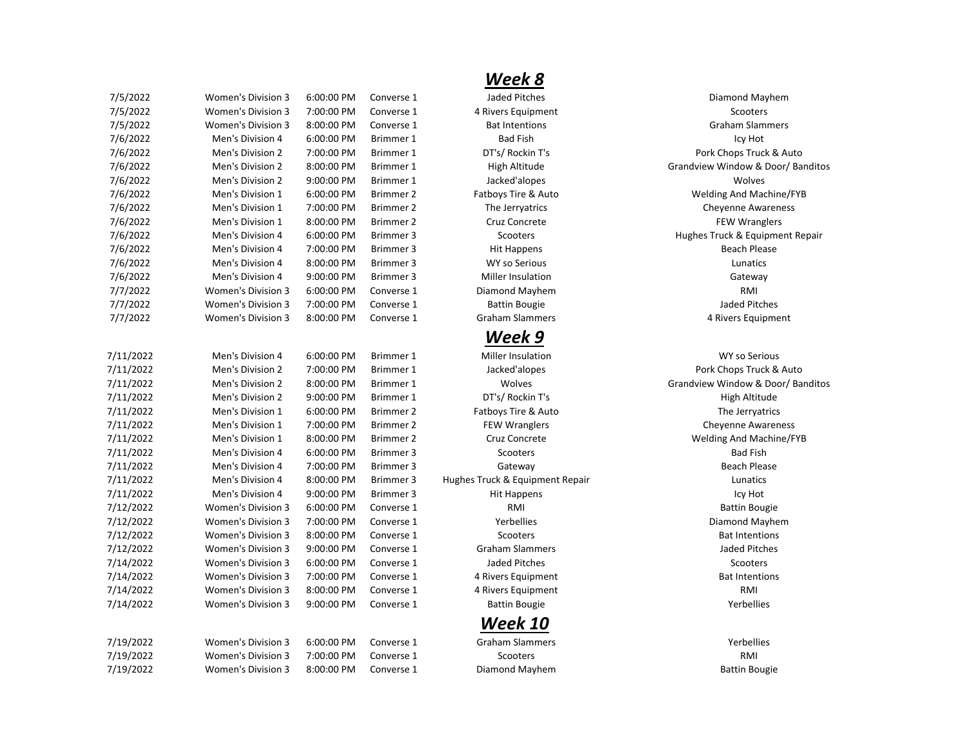| 7/5/2022  | Women's Division 3        | 6:00:00 PM | Converse 1       | Jaded Pitches                   | Diamond Mayhem           |
|-----------|---------------------------|------------|------------------|---------------------------------|--------------------------|
| 7/5/2022  | Women's Division 3        | 7:00:00 PM | Converse 1       | 4 Rivers Equipment              | Scooters                 |
| 7/5/2022  | Women's Division 3        | 8:00:00 PM | Converse 1       | <b>Bat Intentions</b>           | <b>Graham Slammers</b>   |
| 7/6/2022  | Men's Division 4          | 6:00:00 PM | Brimmer 1        | <b>Bad Fish</b>                 | Icy Hot                  |
| 7/6/2022  | Men's Division 2          | 7:00:00 PM | Brimmer 1        | DT's/ Rockin T's                | Pork Chops Truck & A     |
| 7/6/2022  | Men's Division 2          | 8:00:00 PM | Brimmer 1        | High Altitude                   | Grandview Window & Door  |
| 7/6/2022  | Men's Division 2          | 9:00:00 PM | Brimmer 1        | Jacked'alopes                   | Wolves                   |
| 7/6/2022  | Men's Division 1          | 6:00:00 PM | Brimmer 2        | Fatboys Tire & Auto             | Welding And Machine,     |
| 7/6/2022  | Men's Division 1          | 7:00:00 PM | Brimmer 2        | The Jerryatrics                 | <b>Cheyenne Awarenes</b> |
| 7/6/2022  | Men's Division 1          | 8:00:00 PM | Brimmer 2        | Cruz Concrete                   | <b>FEW Wranglers</b>     |
| 7/6/2022  | Men's Division 4          | 6:00:00 PM | Brimmer 3        | Scooters                        | Hughes Truck & Equipmen  |
| 7/6/2022  | Men's Division 4          | 7:00:00 PM | Brimmer 3        | <b>Hit Happens</b>              | <b>Beach Please</b>      |
| 7/6/2022  | Men's Division 4          | 8:00:00 PM | Brimmer 3        | <b>WY so Serious</b>            | Lunatics                 |
| 7/6/2022  | Men's Division 4          | 9:00:00 PM | Brimmer 3        | Miller Insulation               | Gateway                  |
| 7/7/2022  | <b>Women's Division 3</b> | 6:00:00 PM | Converse 1       | Diamond Mayhem                  | <b>RMI</b>               |
| 7/7/2022  | Women's Division 3        | 7:00:00 PM | Converse 1       | <b>Battin Bougie</b>            | <b>Jaded Pitches</b>     |
| 7/7/2022  | Women's Division 3        | 8:00:00 PM | Converse 1       | <b>Graham Slammers</b>          | 4 Rivers Equipment       |
|           |                           |            |                  | Week 9                          |                          |
| 7/11/2022 | Men's Division 4          | 6:00:00 PM | Brimmer 1        | <b>Miller Insulation</b>        | <b>WY so Serious</b>     |
| 7/11/2022 | Men's Division 2          | 7:00:00 PM | Brimmer 1        | Jacked'alopes                   | Pork Chops Truck & A     |
| 7/11/2022 | Men's Division 2          | 8:00:00 PM | Brimmer 1        | Wolves                          | Grandview Window & Door, |
| 7/11/2022 | Men's Division 2          | 9:00:00 PM | Brimmer 1        | DT's/ Rockin T's                | High Altitude            |
| 7/11/2022 | Men's Division 1          | 6:00:00 PM | Brimmer 2        | Fatboys Tire & Auto             | The Jerryatrics          |
| 7/11/2022 | Men's Division 1          | 7:00:00 PM | Brimmer 2        | <b>FEW Wranglers</b>            | <b>Cheyenne Awarenes</b> |
| 7/11/2022 | Men's Division 1          | 8:00:00 PM | <b>Brimmer 2</b> | Cruz Concrete                   | Welding And Machine,     |
| 7/11/2022 | Men's Division 4          | 6:00:00 PM | Brimmer 3        | Scooters                        | <b>Bad Fish</b>          |
| 7/11/2022 | Men's Division 4          | 7:00:00 PM | Brimmer 3        | Gateway                         | <b>Beach Please</b>      |
| 7/11/2022 | Men's Division 4          | 8:00:00 PM | Brimmer 3        | Hughes Truck & Equipment Repair | Lunatics                 |
| 7/11/2022 | Men's Division 4          | 9:00:00 PM | Brimmer 3        | <b>Hit Happens</b>              | Icy Hot                  |
| 7/12/2022 | <b>Women's Division 3</b> | 6:00:00 PM | Converse 1       | <b>RMI</b>                      | <b>Battin Bougie</b>     |
| 7/12/2022 | <b>Women's Division 3</b> | 7:00:00 PM | Converse 1       | Yerbellies                      | Diamond Mayhem           |
| 7/12/2022 | <b>Women's Division 3</b> | 8:00:00 PM | Converse 1       | Scooters                        | <b>Bat Intentions</b>    |
| 7/12/2022 | Women's Division 3        | 9:00:00 PM | Converse 1       | <b>Graham Slammers</b>          | Jaded Pitches            |
| 7/14/2022 | Women's Division 3        | 6:00:00 PM | Converse 1       | Jaded Pitches                   | Scooters                 |
| 7/14/2022 | <b>Women's Division 3</b> | 7:00:00 PM | Converse 1       | 4 Rivers Equipment              | <b>Bat Intentions</b>    |
| 7/14/2022 | <b>Women's Division 3</b> | 8:00:00 PM | Converse 1       | 4 Rivers Equipment              | RMI                      |
| 7/14/2022 | Women's Division 3        | 9:00:00 PM | Converse 1       | <b>Battin Bougie</b>            | Yerbellies               |
|           |                           |            |                  | Week 10                         |                          |
| 7/19/2022 | Women's Division 3        | 6:00:00 PM | Converse 1       | <b>Graham Slammers</b>          | Yerbellies               |
| 7/19/2022 | <b>Women's Division 3</b> | 7:00:00 PM | Converse 1       | Scooters                        | <b>RMI</b>               |
| 7/19/2022 | Women's Division 3        | 8:00:00 PM | Converse 1       | Diamond Mayhem                  | <b>Battin Bougie</b>     |
|           |                           |            |                  |                                 |                          |

## *Week 8*

## *Week 9*

## *Week 10*

4 Rivers Equipment **3** 7:00 PM Converse 1 2:00 PM Converse 1 2:00 PM Converse 1 2:00 PM Converse 1 2:00 PM Converse 1 2:00 PM Converse 1 2:00 PM Converse 1 2:00 PM Converse 1 2:00 PM Converse 1 2:00 PM Converse 1 2:00 PM C DT's/ Rockin T's **DT's/ Rockin T's** Pork Chops Truck & Auto Figh Altitude Theorem 2 8:00 PM Brigh Altitude Grandview Window & Door/ Banditos Fatboys Tire & Auto **Pathon 1 6:000 PM Britain 1 6:00:00 PM Britain 1 6:00:00 PM Britain 1 6:00:00 PM Britain 1 6:00:00 PM Britain 1 6:00:00 PM Britain 1 6:00:00 PM Britain 1 6:00:00 PM Britain 1 6:00:00 PM Britain 1 6:00:** The Jerryatrics **The Jerryatrics Cheyenne Awareness** Scooters Truck & Equipment Repair Fraham Slammers **The State 3 8:00 PM Converse 1 A:00:00 PM Converse 1 A:00:00 PM Converse 1 A:00:00 PM Converse 1 A:00:00 PM Converse 1 A:00:00 PM Converse 1 A:00:00 PM Converse 1 A:00:00 PM Converse 1 A:00:00 PM Converse** 

Jacked'alopes **Truck & Auto** Pork Chops Truck & Auto Wolves **7/2022 Mental Men's Door American** Grandview Window & Door/ Banditos FEW Wranglers **The Cheyenne Awareness** Cheyenne Awareness 7/11/2022 Men's Division 1 8:00:00 PM Brimmer 2 Cruz Concrete Welding And Machine/FYB